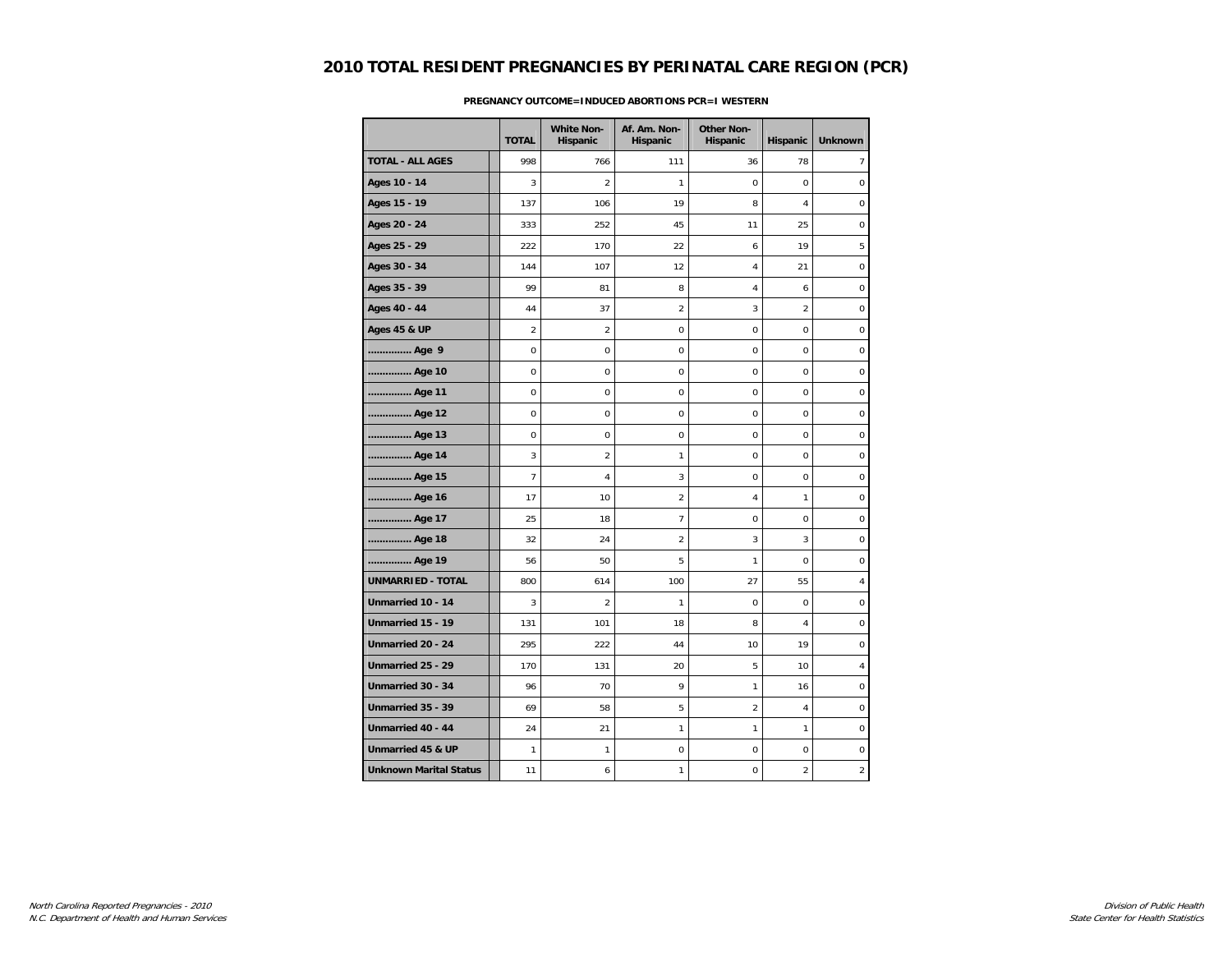|                               | <b>TOTAL</b>   | <b>White Non-</b><br>Hispanic | Af. Am. Non-<br>Hispanic | <b>Other Non-</b><br>Hispanic | Hispanic       | <b>Unknown</b>   |
|-------------------------------|----------------|-------------------------------|--------------------------|-------------------------------|----------------|------------------|
| <b>TOTAL - ALL AGES</b>       | 998            | 766                           | 111                      | 36                            | 78             | $\overline{7}$   |
| Ages 10 - 14                  | 3              | $\overline{2}$                | 1                        | 0                             | $\mathbf 0$    | $\mathbf 0$      |
| Ages 15 - 19                  | 137            | 106                           | 19                       | 8                             | 4              | 0                |
| Ages 20 - 24                  | 333            | 252                           | 45                       | 11                            | 25             | $\boldsymbol{0}$ |
| Ages 25 - 29                  | 222            | 170                           | 22                       | 6                             | 19             | 5                |
| Ages 30 - 34                  | 144            | 107                           | 12                       | 4                             | 21             | $\mathbf 0$      |
| Ages 35 - 39                  | 99             | 81                            | 8                        | 4                             | 6              | $\boldsymbol{0}$ |
| Ages 40 - 44                  | 44             | 37                            | $\overline{a}$           | 3                             | $\overline{2}$ | $\pmb{0}$        |
| <b>Ages 45 &amp; UP</b>       | 2              | $\overline{2}$                | 0                        | $\mathbf 0$                   | $\mathbf 0$    | $\boldsymbol{0}$ |
| Age 9                         | 0              | 0                             | 0                        | 0                             | $\mathbf 0$    | 0                |
| Age 10                        | $\mathbf 0$    | 0                             | $\mathbf 0$              | $\mathbf 0$                   | $\mathbf 0$    | $\mathbf 0$      |
| Age 11                        | $\mathbf 0$    | 0                             | 0                        | 0                             | $\Omega$       | $\mathbf 0$      |
| Age 12                        | $\mathbf 0$    | $\mathbf 0$                   | $\mathbf 0$              | $\mathbf 0$                   | $\mathbf 0$    | $\mathbf 0$      |
| Age 13                        | 0              | 0                             | $\mathsf 0$              | 0                             | $\mathbf 0$    | $\pmb{0}$        |
| Age 14                        | 3              | $\overline{2}$                | 1                        | 0                             | 0              | $\boldsymbol{0}$ |
| Age 15                        | $\overline{7}$ | $\overline{4}$                | 3                        | $\mathbf 0$                   | $\mathbf 0$    | 0                |
| Age 16                        | 17             | 10                            | 2                        | 4                             | $\mathbf{1}$   | $\boldsymbol{0}$ |
| Age 17                        | 25             | 18                            | 7                        | 0                             | 0              | $\boldsymbol{0}$ |
| Age 18                        | 32             | 24                            | $\overline{2}$           | 3                             | 3              | $\mathbf 0$      |
| Age 19                        | 56             | 50                            | 5                        | 1                             | $\mathbf 0$    | $\mathbf 0$      |
| <b>UNMARRIED - TOTAL</b>      | 800            | 614                           | 100                      | 27                            | 55             | 4                |
| Unmarried 10 - 14             | 3              | $\overline{2}$                | 1                        | 0                             | $\mathbf 0$    | $\pmb{0}$        |
| Unmarried 15 - 19             | 131            | 101                           | 18                       | 8                             | 4              | $\mathbf 0$      |
| Unmarried 20 - 24             | 295            | 222                           | 44                       | 10                            | 19             | $\mathbf 0$      |
| Unmarried 25 - 29             | 170            | 131                           | 20                       | 5                             | 10             | 4                |
| Unmarried 30 - 34             | 96             | 70                            | 9                        | 1                             | 16             | $\boldsymbol{0}$ |
| Unmarried 35 - 39             | 69             | 58                            | 5                        | $\overline{2}$                | $\overline{4}$ | $\mathbf 0$      |
| Unmarried 40 - 44             | 24             | 21                            | 1                        | 1                             | $\mathbf{1}$   | $\pmb{0}$        |
| Unmarried 45 & UP             | 1              | 1                             | $\pmb{0}$                | 0                             | 0              | 0                |
| <b>Unknown Marital Status</b> | 11             | 6                             | 1                        | 0                             | $\overline{2}$ | $\overline{2}$   |

### **PREGNANCY OUTCOME=INDUCED ABORTIONS PCR=I WESTERN**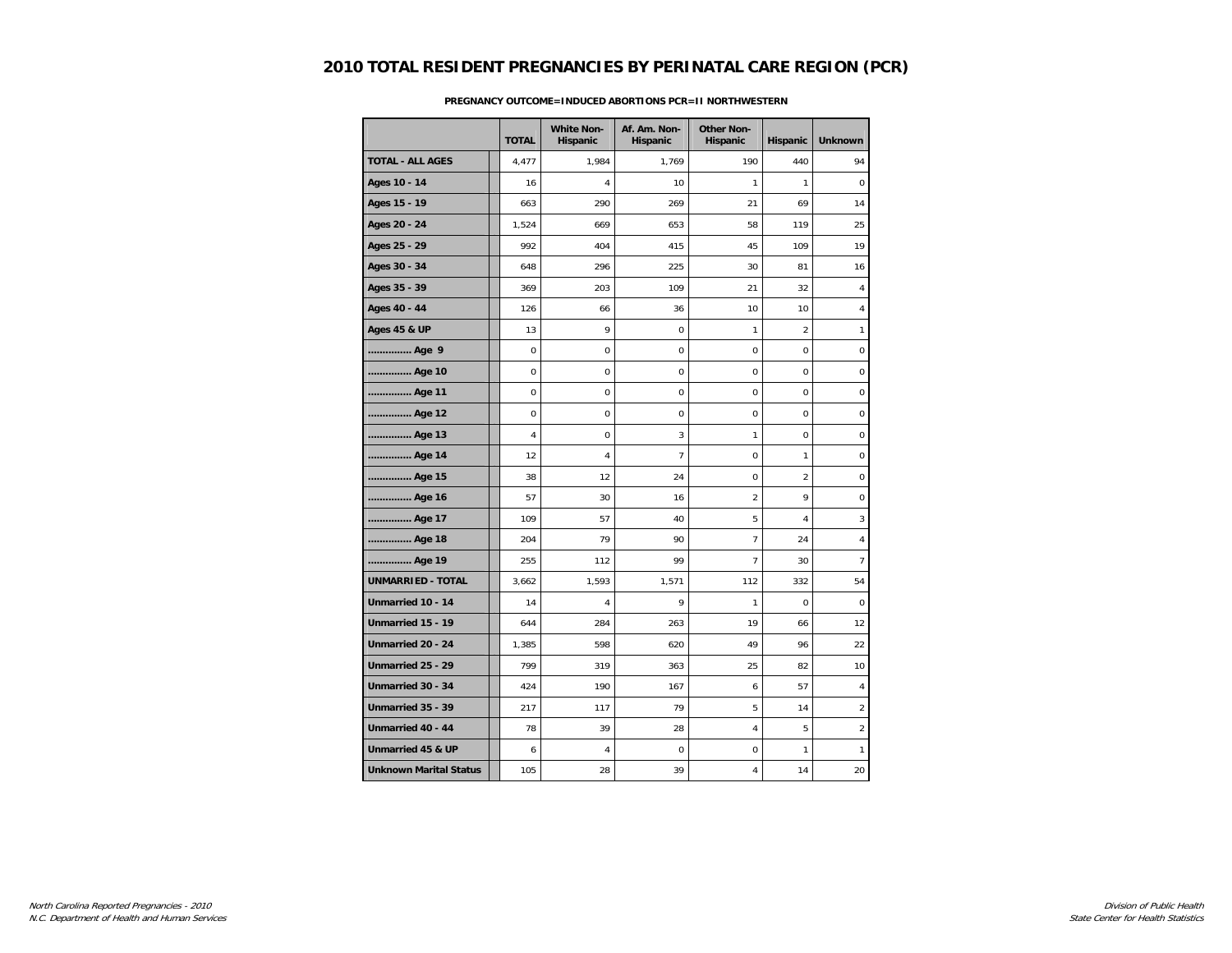|                               | <b>TOTAL</b> | <b>White Non-</b><br>Hispanic | Af. Am. Non-<br>Hispanic | <b>Other Non-</b><br>Hispanic | Hispanic       | <b>Unknown</b>   |
|-------------------------------|--------------|-------------------------------|--------------------------|-------------------------------|----------------|------------------|
| <b>TOTAL - ALL AGES</b>       | 4,477        | 1,984                         | 1,769                    | 190                           | 440            | 94               |
| Ages 10 - 14                  | 16           | 4                             | 10                       | 1                             | $\mathbf{1}$   | $\mathbf 0$      |
| Ages 15 - 19                  | 663          | 290                           | 269                      | 21                            | 69             | 14               |
| Ages 20 - 24                  | 1,524        | 669                           | 653                      | 58                            | 119            | 25               |
| Ages 25 - 29                  | 992          | 404                           | 415                      | 45                            | 109            | 19               |
| Ages 30 - 34                  | 648          | 296                           | 225                      | 30                            | 81             | 16               |
| Ages 35 - 39                  | 369          | 203                           | 109                      | 21                            | 32             | $\overline{4}$   |
| Ages 40 - 44                  | 126          | 66                            | 36                       | 10                            | 10             | 4                |
| <b>Ages 45 &amp; UP</b>       | 13           | 9                             | 0                        | 1                             | $\overline{2}$ | 1                |
| Age 9                         | $\pmb{0}$    | $\pmb{0}$                     | 0                        | $\mathbf 0$                   | $\mathbf 0$    | $\pmb{0}$        |
| Age 10                        | $\mathbf 0$  | $\mathbf 0$                   | 0                        | 0                             | $\mathbf 0$    | 0                |
| Age 11                        | 0            | 0                             | 0                        | 0                             | $\mathbf 0$    | $\boldsymbol{0}$ |
| Age 12                        | $\mathbf 0$  | $\mathbf 0$                   | $\mathbf 0$              | $\mathbf 0$                   | $\mathbf 0$    | 0                |
| Age 13                        | 4            | 0                             | 3                        | $\mathbf{1}$                  | $\mathbf 0$    | 0                |
| Age 14                        | 12           | 4                             | $\overline{7}$           | 0                             | $\mathbf{1}$   | 0                |
| Age 15                        | 38           | 12                            | 24                       | $\mathbf 0$                   | $\overline{2}$ | $\mathbf 0$      |
| Age 16                        | 57           | 30                            | 16                       | $\overline{2}$                | 9              | $\mathbf 0$      |
| Age 17                        | 109          | 57                            | 40                       | 5                             | $\overline{4}$ | 3                |
| Age 18                        | 204          | 79                            | 90                       | $\overline{7}$                | 24             | 4                |
| Age 19                        | 255          | 112                           | 99                       | 7                             | 30             | $\overline{7}$   |
| <b>UNMARRIED - TOTAL</b>      | 3,662        | 1,593                         | 1,571                    | 112                           | 332            | 54               |
| Unmarried 10 - 14             | 14           | 4                             | 9                        | 1                             | $\Omega$       | 0                |
| Unmarried 15 - 19             | 644          | 284                           | 263                      | 19                            | 66             | 12               |
| Unmarried 20 - 24             | 1,385        | 598                           | 620                      | 49                            | 96             | 22               |
| Unmarried 25 - 29             | 799          | 319                           | 363                      | 25                            | 82             | 10               |
| Unmarried 30 - 34             | 424          | 190                           | 167                      | 6                             | 57             | $\overline{4}$   |
| Unmarried 35 - 39             | 217          | 117                           | 79                       | 5                             | 14             | $\overline{2}$   |
| Unmarried 40 - 44             | 78           | 39                            | 28                       | $\overline{4}$                | 5              | $\overline{2}$   |
| Unmarried 45 & UP             | 6            | 4                             | $\mathbf 0$              | 0                             | $\mathbf{1}$   | $\mathbf{1}$     |
| <b>Unknown Marital Status</b> | 105          | 28                            | 39                       | 4                             | 14             | 20               |

### **PREGNANCY OUTCOME=INDUCED ABORTIONS PCR=II NORTHWESTERN**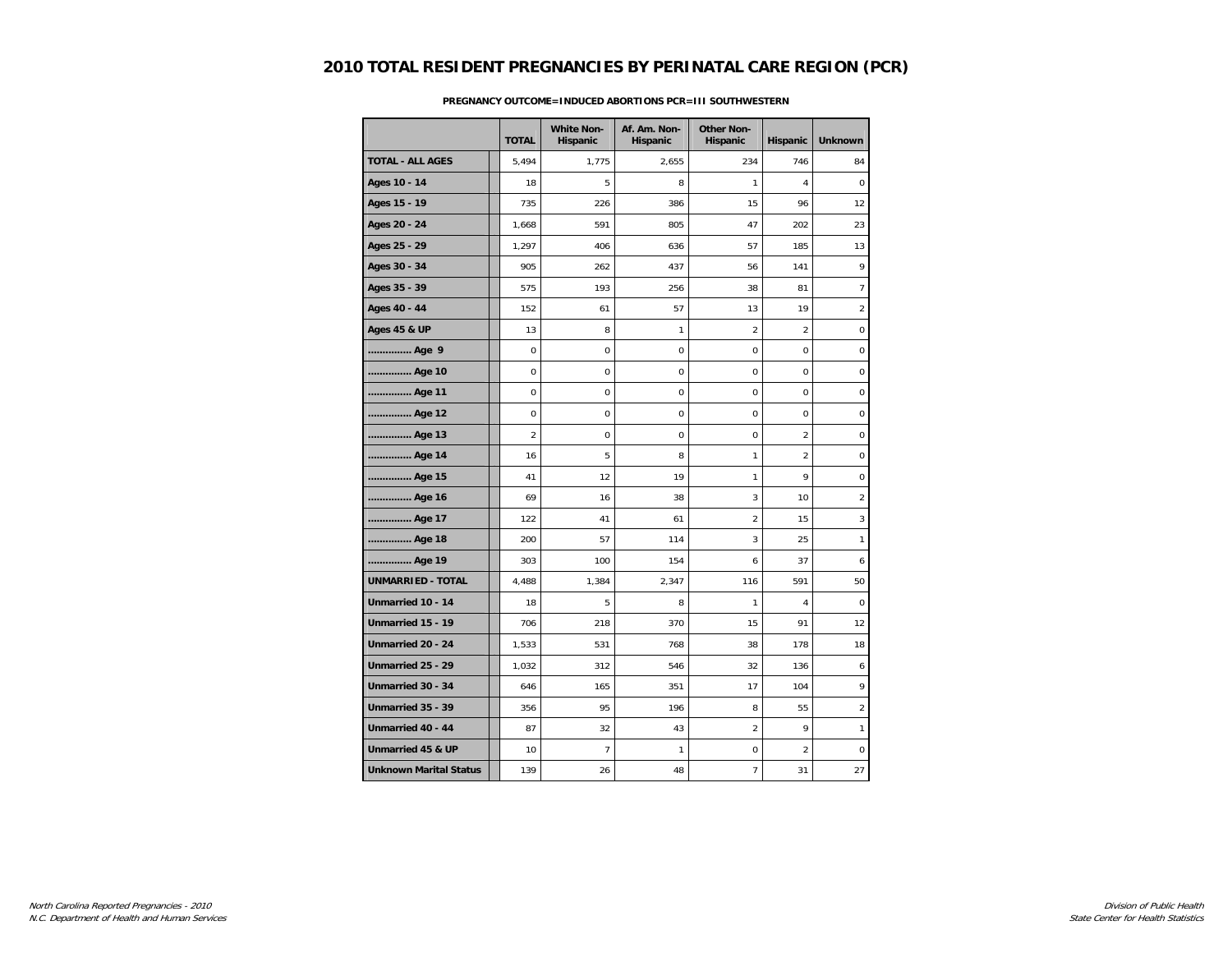|                               | <b>TOTAL</b>   | <b>White Non-</b><br>Hispanic | Af. Am. Non-<br>Hispanic | <b>Other Non-</b><br>Hispanic | Hispanic       | <b>Unknown</b>   |
|-------------------------------|----------------|-------------------------------|--------------------------|-------------------------------|----------------|------------------|
| <b>TOTAL - ALL AGES</b>       | 5,494          | 1,775                         | 2,655                    | 234                           | 746            | 84               |
| Ages 10 - 14                  | 18             | 5                             | 8                        | 1                             | $\overline{4}$ | $\mathbf 0$      |
| Ages 15 - 19                  | 735            | 226                           | 386                      | 15                            | 96             | 12               |
| Ages 20 - 24                  | 1,668          | 591                           | 805                      | 47                            | 202            | 23               |
| Ages 25 - 29                  | 1,297          | 406                           | 636                      | 57                            | 185            | 13               |
| Ages 30 - 34                  | 905            | 262                           | 437                      | 56                            | 141            | 9                |
| Ages 35 - 39                  | 575            | 193                           | 256                      | 38                            | 81             | 7                |
| Ages 40 - 44                  | 152            | 61                            | 57                       | 13                            | 19             | $\overline{2}$   |
| <b>Ages 45 &amp; UP</b>       | 13             | 8                             | 1                        | $\overline{a}$                | $\overline{2}$ | $\mathbf 0$      |
| Age 9                         | $\pmb{0}$      | $\mathbf 0$                   | 0                        | $\mathbf 0$                   | $\mathbf 0$    | $\pmb{0}$        |
| Age 10                        | $\mathbf 0$    | $\mathbf 0$                   | 0                        | 0                             | $\mathbf 0$    | $\pmb{0}$        |
| Age 11                        | 0              | 0                             | 0                        | 0                             | $\mathbf 0$    | $\boldsymbol{0}$ |
| Age 12                        | $\mathbf 0$    | $\mathbf 0$                   | $\mathbf 0$              | $\mathbf 0$                   | $\mathbf 0$    | 0                |
| Age 13                        | $\overline{a}$ | 0                             | 0                        | 0                             | $\overline{2}$ | 0                |
| Age 14                        | 16             | 5                             | 8                        | 1                             | $\overline{2}$ | 0                |
| Age 15                        | 41             | 12                            | 19                       | $\mathbf{1}$                  | $\mathsf{Q}$   | $\mathbf 0$      |
| Age 16                        | 69             | 16                            | 38                       | 3                             | 10             | $\overline{2}$   |
| Age 17                        | 122            | 41                            | 61                       | 2                             | 15             | 3                |
| Age 18                        | 200            | 57                            | 114                      | 3                             | 25             | 1                |
| Age 19                        | 303            | 100                           | 154                      | 6                             | 37             | 6                |
| <b>UNMARRIED - TOTAL</b>      | 4,488          | 1,384                         | 2,347                    | 116                           | 591            | 50               |
| Unmarried 10 - 14             | 18             | 5                             | 8                        | 1                             | 4              | $\mathbf 0$      |
| Unmarried 15 - 19             | 706            | 218                           | 370                      | 15                            | 91             | 12               |
| Unmarried 20 - 24             | 1,533          | 531                           | 768                      | 38                            | 178            | 18               |
| Unmarried 25 - 29             | 1,032          | 312                           | 546                      | 32                            | 136            | 6                |
| Unmarried 30 - 34             | 646            | 165                           | 351                      | 17                            | 104            | 9                |
| Unmarried 35 - 39             | 356            | 95                            | 196                      | 8                             | 55             | $\overline{2}$   |
| Unmarried 40 - 44             | 87             | 32                            | 43                       | $\overline{a}$                | 9              | 1                |
| Unmarried 45 & UP             | 10             | $\overline{7}$                | $\mathbf{1}$             | 0                             | $\overline{2}$ | $\pmb{0}$        |
| <b>Unknown Marital Status</b> | 139            | 26                            | 48                       | $\overline{7}$                | 31             | 27               |

### **PREGNANCY OUTCOME=INDUCED ABORTIONS PCR=III SOUTHWESTERN**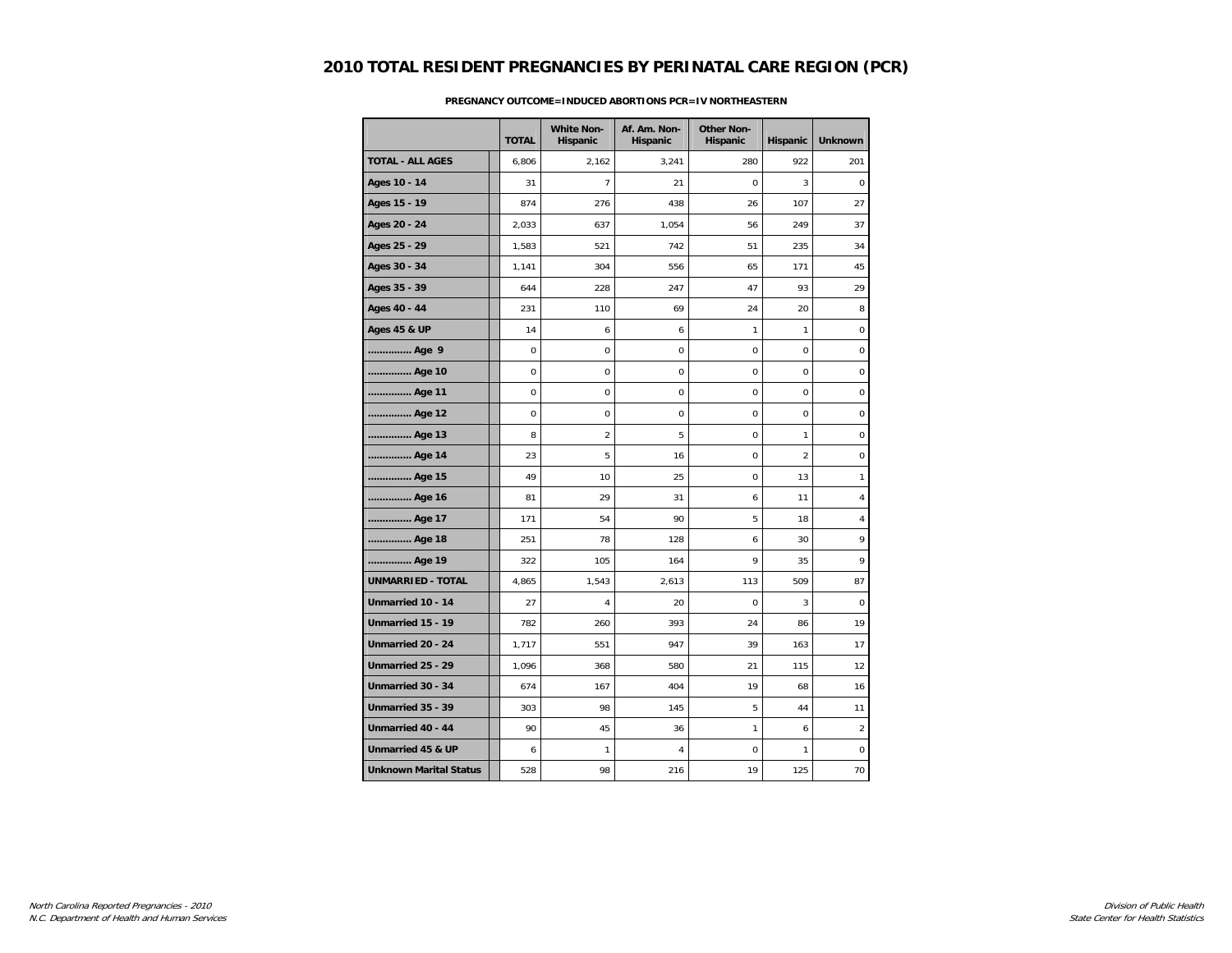|                               | <b>TOTAL</b> | <b>White Non-</b><br>Hispanic | Af. Am. Non-<br>Hispanic | <b>Other Non-</b><br>Hispanic | Hispanic       | <b>Unknown</b> |
|-------------------------------|--------------|-------------------------------|--------------------------|-------------------------------|----------------|----------------|
| <b>TOTAL - ALL AGES</b>       | 6,806        | 2,162                         | 3,241                    | 280                           | 922            | 201            |
| Ages 10 - 14                  | 31           | $\overline{7}$                | 21                       | $\mathbf 0$                   | 3              | 0              |
| Ages 15 - 19                  | 874          | 276                           | 438                      | 26                            | 107            | 27             |
| Ages 20 - 24                  | 2,033        | 637                           | 1,054                    | 56                            | 249            | 37             |
| Ages 25 - 29                  | 1,583        | 521                           | 742                      | 51                            | 235            | 34             |
| Ages 30 - 34                  | 1,141        | 304                           | 556                      | 65                            | 171            | 45             |
| Ages 35 - 39                  | 644          | 228                           | 247                      | 47                            | 93             | 29             |
| Ages 40 - 44                  | 231          | 110                           | 69                       | 24                            | 20             | 8              |
| <b>Ages 45 &amp; UP</b>       | 14           | 6                             | 6                        | 1                             | 1              | 0              |
| Age 9                         | $\mathbf 0$  | 0                             | $\mathsf 0$              | $\mathbf 0$                   | 0              | $\pmb{0}$      |
| Age 10                        | $\mathbf 0$  | 0                             | $\mathsf 0$              | $\mathbf 0$                   | 0              | $\pmb{0}$      |
| Age 11                        | 0            | 0                             | 0                        | 0                             | 0              | 0              |
| Age 12                        | $\mathbf 0$  | 0                             | $\mathbf 0$              | $\mathbf 0$                   | 0              | 0              |
| Age 13                        | 8            | $\overline{2}$                | 5                        | 0                             | 1              | 0              |
| Age 14                        | 23           | 5                             | 16                       | 0                             | $\overline{2}$ | 0              |
| Age 15                        | 49           | 10                            | 25                       | $\mathbf 0$                   | 13             | $\mathbf{1}$   |
| Age 16                        | 81           | 29                            | 31                       | 6                             | 11             | 4              |
| Age 17                        | 171          | 54                            | 90                       | 5                             | 18             | 4              |
| Age 18                        | 251          | 78                            | 128                      | 6                             | 30             | 9              |
| Age 19                        | 322          | 105                           | 164                      | 9                             | 35             | 9              |
| <b>UNMARRIED - TOTAL</b>      | 4,865        | 1,543                         | 2,613                    | 113                           | 509            | 87             |
| Unmarried 10 - 14             | 27           | 4                             | 20                       | $\Omega$                      | 3              | 0              |
| Unmarried 15 - 19             | 782          | 260                           | 393                      | 24                            | 86             | 19             |
| Unmarried 20 - 24             | 1,717        | 551                           | 947                      | 39                            | 163            | 17             |
| Unmarried 25 - 29             | 1,096        | 368                           | 580                      | 21                            | 115            | 12             |
| Unmarried 30 - 34             | 674          | 167                           | 404                      | 19                            | 68             | 16             |
| Unmarried 35 - 39             | 303          | 98                            | 145                      | 5                             | 44             | 11             |
| Unmarried 40 - 44             | 90           | 45                            | 36                       | 1                             | 6              | $\overline{2}$ |
| Unmarried 45 & UP             | 6            | $\mathbf{1}$                  | 4                        | $\mathbf 0$                   | $\mathbf{1}$   | $\pmb{0}$      |
| <b>Unknown Marital Status</b> | 528          | 98                            | 216                      | 19                            | 125            | 70             |

### **PREGNANCY OUTCOME=INDUCED ABORTIONS PCR=IV NORTHEASTERN**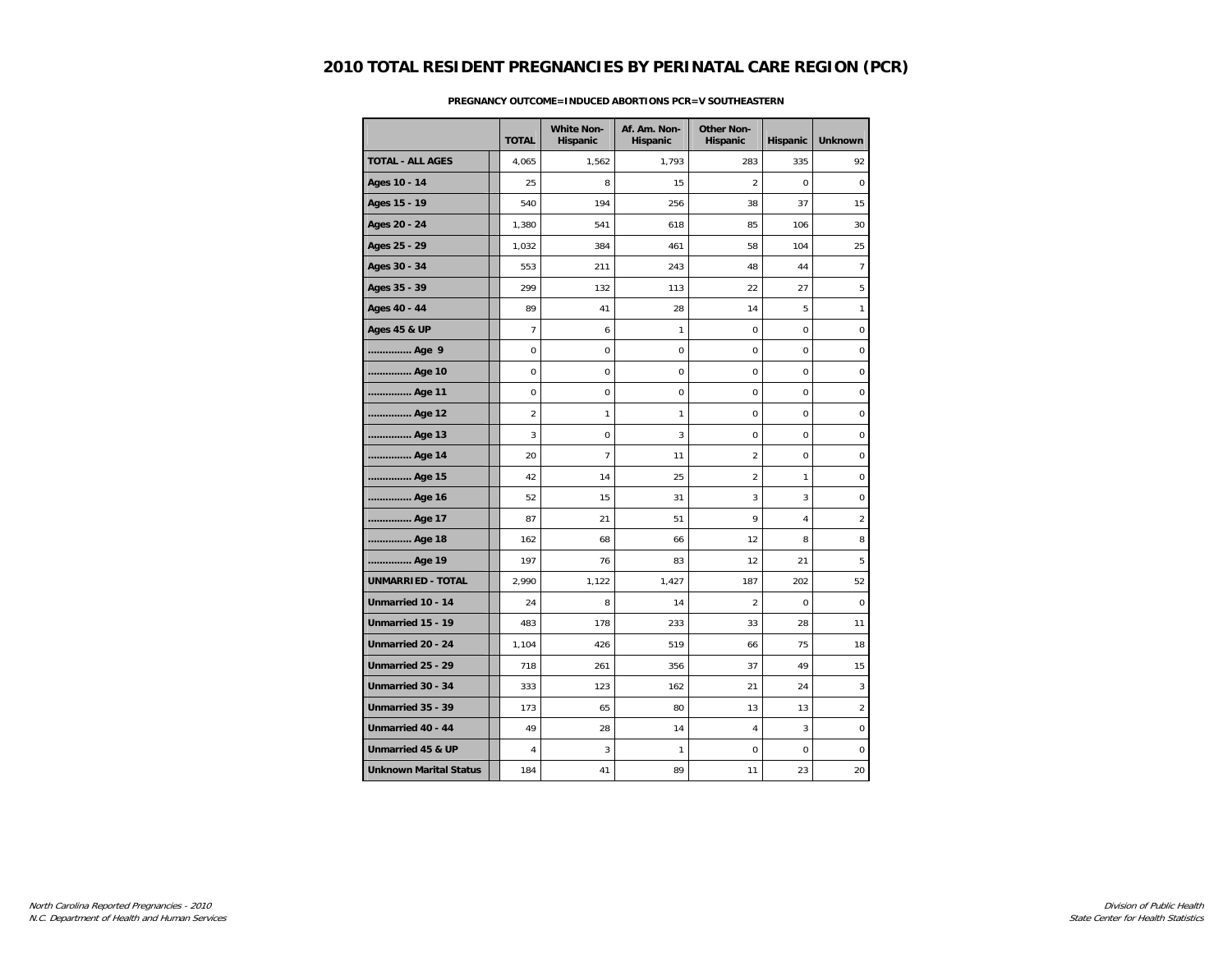|                               |                | <b>White Non-</b> | Af. Am. Non- | <b>Other Non-</b> |                |                 |
|-------------------------------|----------------|-------------------|--------------|-------------------|----------------|-----------------|
|                               | <b>TOTAL</b>   | Hispanic          | Hispanic     | Hispanic          | Hispanic       | <b>Unknown</b>  |
| <b>TOTAL - ALL AGES</b>       | 4,065          | 1,562             | 1,793        | 283               | 335            | 92              |
| Ages 10 - 14                  | 25             | 8                 | 15           | $\overline{2}$    | $\mathbf 0$    | $\mathbf 0$     |
| Ages 15 - 19                  | 540            | 194               | 256          | 38                | 37             | 15              |
| Ages 20 - 24                  | 1,380          | 541               | 618          | 85                | 106            | 30              |
| Ages 25 - 29                  | 1,032          | 384               | 461          | 58                | 104            | 25              |
| Ages 30 - 34                  | 553            | 211               | 243          | 48                | 44             | $7\overline{ }$ |
| Ages 35 - 39                  | 299            | 132               | 113          | 22                | 27             | 5               |
| Ages 40 - 44                  | 89             | 41                | 28           | 14                | 5              | 1               |
| <b>Ages 45 &amp; UP</b>       | $\overline{7}$ | 6                 | 1            | 0                 | $\mathbf 0$    | $\mathbf 0$     |
| Age 9                         | $\mathbf 0$    | $\mathbf 0$       | $\mathbf 0$  | 0                 | $\mathbf 0$    | $\mathbf 0$     |
| Age 10                        | $\mathbf 0$    | 0                 | 0            | 0                 | $\mathbf 0$    | 0               |
| Age 11                        | $\mathbf 0$    | 0                 | 0            | 0                 | $\mathbf 0$    | $\pmb{0}$       |
| Age 12                        | $\overline{2}$ | 1                 | 1            | 0                 | $\mathbf 0$    | 0               |
| Age 13                        | 3              | $\mathbf 0$       | 3            | 0                 | $\mathbf 0$    | 0               |
| Age 14                        | 20             | $\overline{7}$    | 11           | $\overline{2}$    | $\mathbf 0$    | 0               |
| Age 15                        | 42             | 14                | 25           | $\overline{a}$    | $\mathbf{1}$   | $\mathbf 0$     |
| Age 16                        | 52             | 15                | 31           | 3                 | 3              | $\pmb{0}$       |
| Age 17                        | 87             | 21                | 51           | 9                 | $\overline{4}$ | $\overline{2}$  |
| Age 18                        | 162            | 68                | 66           | 12                | 8              | 8               |
| Age 19                        | 197            | 76                | 83           | 12                | 21             | 5               |
| UNMARRIED - TOTAL             | 2,990          | 1,122             | 1,427        | 187               | 202            | 52              |
| Unmarried 10 - 14             | 24             | 8                 | 14           | $\overline{2}$    | $\mathbf 0$    | $\mathbf 0$     |
| Unmarried 15 - 19             | 483            | 178               | 233          | 33                | 28             | 11              |
| Unmarried 20 - 24             | 1,104          | 426               | 519          | 66                | 75             | 18              |
| Unmarried 25 - 29             | 718            | 261               | 356          | 37                | 49             | 15              |
| Unmarried 30 - 34             | 333            | 123               | 162          | 21                | 24             | 3               |
| Unmarried 35 - 39             | 173            | 65                | 80           | 13                | 13             | $\overline{2}$  |
| Unmarried 40 - 44             | 49             | 28                | 14           | $\overline{4}$    | $\mathbf{3}$   | $\pmb{0}$       |
| Unmarried 45 & UP             | 4              | 3                 | 1            | 0                 | $\mathbf 0$    | 0               |
| <b>Unknown Marital Status</b> | 184            | 41                | 89           | 11                | 23             | 20              |

### **PREGNANCY OUTCOME=INDUCED ABORTIONS PCR=V SOUTHEASTERN**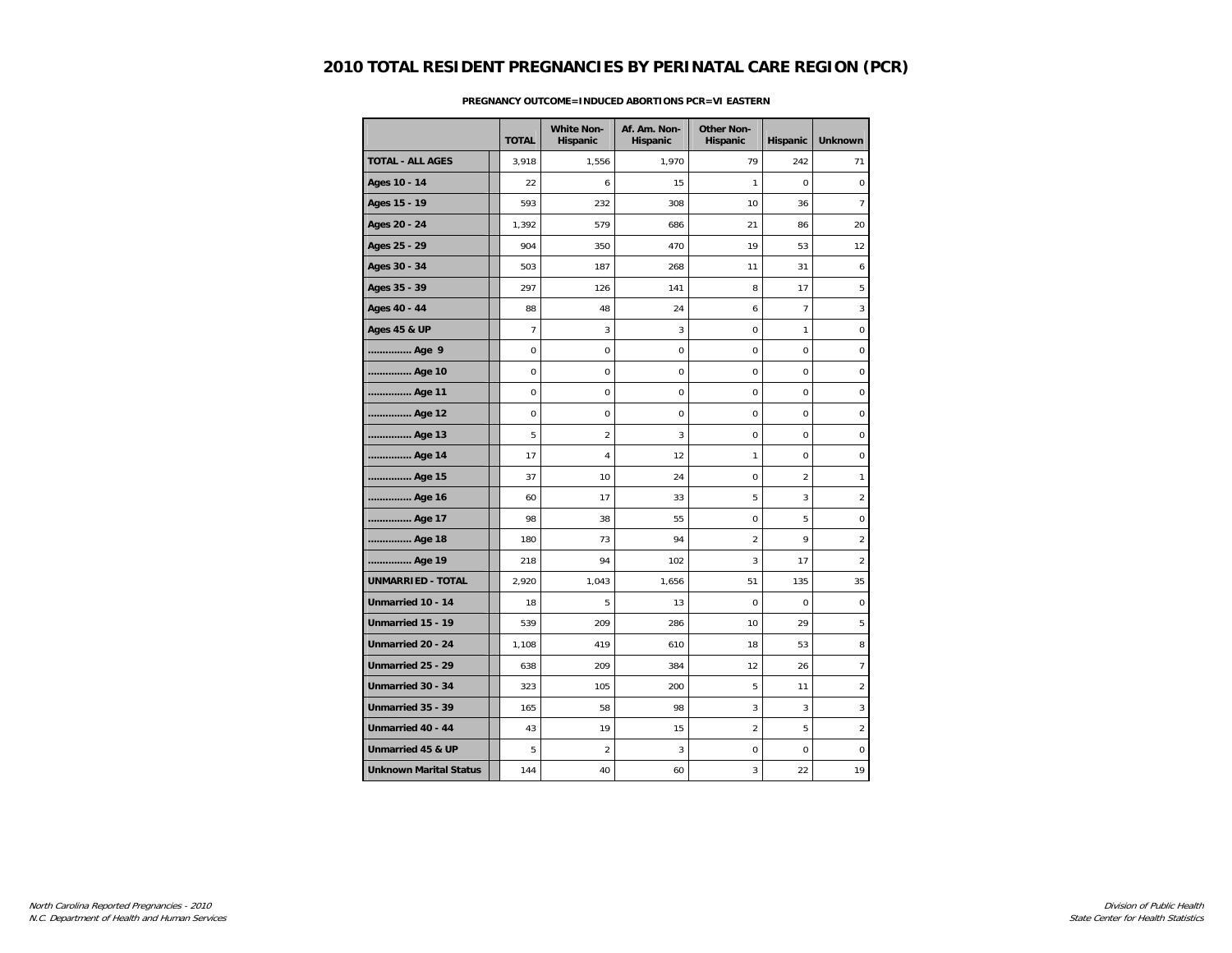|                               | <b>TOTAL</b>   | <b>White Non-</b><br>Hispanic | Af. Am. Non-<br>Hispanic | <b>Other Non-</b><br>Hispanic | Hispanic       | <b>Unknown</b>   |
|-------------------------------|----------------|-------------------------------|--------------------------|-------------------------------|----------------|------------------|
| <b>TOTAL - ALL AGES</b>       | 3,918          | 1,556                         | 1,970                    | 79                            | 242            | 71               |
| Ages 10 - 14                  | 22             | 6                             | 15                       | 1                             | $\mathbf 0$    | $\mathbf 0$      |
| Ages 15 - 19                  | 593            | 232                           | 308                      | 10                            | 36             | 7                |
| Ages 20 - 24                  | 1,392          | 579                           | 686                      | 21                            | 86             | 20               |
| Ages 25 - 29                  | 904            | 350                           | 470                      | 19                            | 53             | 12               |
| Ages 30 - 34                  | 503            | 187                           | 268                      | 11                            | 31             | 6                |
| Ages 35 - 39                  | 297            | 126                           | 141                      | 8                             | 17             | 5                |
| Ages 40 - 44                  | 88             | 48                            | 24                       | 6                             | $\overline{7}$ | 3                |
| <b>Ages 45 &amp; UP</b>       | $\overline{7}$ | 3                             | 3                        | 0                             | $\mathbf{1}$   | $\pmb{0}$        |
| Age 9                         | $\pmb{0}$      | 0                             | 0                        | 0                             | $\mathsf 0$    | $\pmb{0}$        |
| Age 10                        | 0              | 0                             | 0                        | 0                             | $\mathbf 0$    | 0                |
| Age 11                        | 0              | 0                             | 0                        | 0                             | $\mathbf 0$    | $\boldsymbol{0}$ |
| Age 12                        | $\mathbf 0$    | 0                             | $\mathbf 0$              | $\mathbf 0$                   | $\mathbf 0$    | $\boldsymbol{0}$ |
| Age 13                        | 5              | $\overline{c}$                | 3                        | 0                             | $\mathbf 0$    | $\boldsymbol{0}$ |
| Age 14                        | 17             | 4                             | 12                       | 1                             | $\mathbf 0$    | $\pmb{0}$        |
| Age 15                        | 37             | 10                            | 24                       | $\Omega$                      | $\overline{2}$ | $\mathbf{1}$     |
| Age 16                        | 60             | 17                            | 33                       | 5                             | 3              | $\overline{2}$   |
| Age 17                        | 98             | 38                            | 55                       | 0                             | 5              | $\pmb{0}$        |
| Age 18                        | 180            | 73                            | 94                       | $\overline{a}$                | 9              | $\overline{2}$   |
| Age 19                        | 218            | 94                            | 102                      | 3                             | 17             | $\overline{2}$   |
| <b>UNMARRIED - TOTAL</b>      | 2,920          | 1,043                         | 1,656                    | 51                            | 135            | 35               |
| Unmarried 10 - 14             | 18             | 5                             | 13                       | 0                             | 0              | 0                |
| Unmarried 15 - 19             | 539            | 209                           | 286                      | 10                            | 29             | 5                |
| Unmarried 20 - 24             | 1,108          | 419                           | 610                      | 18                            | 53             | 8                |
| Unmarried 25 - 29             | 638            | 209                           | 384                      | 12                            | 26             | $\overline{7}$   |
| Unmarried 30 - 34             | 323            | 105                           | 200                      | 5                             | 11             | $\overline{2}$   |
| Unmarried 35 - 39             | 165            | 58                            | 98                       | 3                             | $\mathbf{3}$   | 3                |
| Unmarried 40 - 44             | 43             | 19                            | 15                       | $\overline{2}$                | 5              | $\overline{2}$   |
| Unmarried 45 & UP             | 5              | $\overline{c}$                | 3                        | 0                             | $\mathbf 0$    | 0                |
| <b>Unknown Marital Status</b> | 144            | 40                            | 60                       | 3                             | 22             | 19               |

#### **PREGNANCY OUTCOME=INDUCED ABORTIONS PCR=VI EASTERN**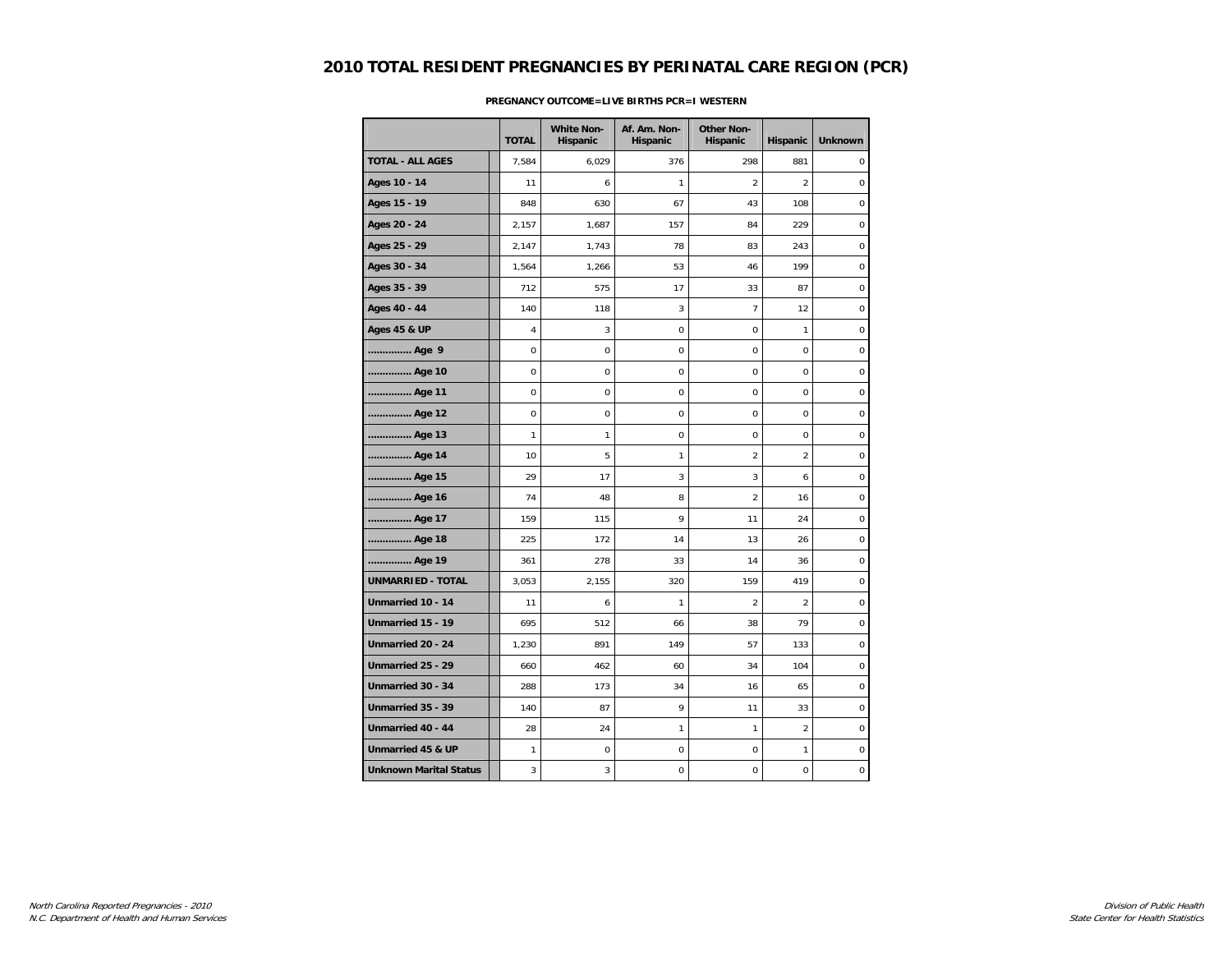|                               |              | <b>White Non-</b> | Af. Am. Non- | <b>Other Non-</b> |                |                  |
|-------------------------------|--------------|-------------------|--------------|-------------------|----------------|------------------|
|                               | <b>TOTAL</b> | Hispanic          | Hispanic     | Hispanic          | Hispanic       | <b>Unknown</b>   |
| <b>TOTAL - ALL AGES</b>       | 7,584        | 6,029             | 376          | 298               | 881            | $\mathbf 0$      |
| Ages 10 - 14                  | 11           | 6                 | 1            | 2                 | $\overline{2}$ | $\mathbf 0$      |
| Ages 15 - 19                  | 848          | 630               | 67           | 43                | 108            | 0                |
| Ages 20 - 24                  | 2,157        | 1,687             | 157          | 84                | 229            | $\boldsymbol{0}$ |
| Ages 25 - 29                  | 2,147        | 1,743             | 78           | 83                | 243            | $\mathbf 0$      |
| Ages 30 - 34                  | 1,564        | 1,266             | 53           | 46                | 199            | $\pmb{0}$        |
| Ages 35 - 39                  | 712          | 575               | 17           | 33                | 87             | $\mathbf 0$      |
| Ages 40 - 44                  | 140          | 118               | 3            | $\overline{7}$    | 12             | $\mathbf 0$      |
| <b>Ages 45 &amp; UP</b>       | 4            | 3                 | $\mathsf 0$  | 0                 | $\mathbf{1}$   | $\pmb{0}$        |
| Age 9                         | $\pmb{0}$    | 0                 | 0            | 0                 | $\mathbf 0$    | $\pmb{0}$        |
| Age 10                        | 0            | 0                 | $\mathbf 0$  | 0                 | $\mathbf 0$    | 0                |
| Age 11                        | 0            | 0                 | 0            | 0                 | $\mathbf 0$    | $\boldsymbol{0}$ |
| Age 12                        | $\mathbf 0$  | 0                 | $\mathbf 0$  | $\mathbf 0$       | $\mathbf 0$    | $\mathbf 0$      |
| Age 13                        | 1            | 1                 | 0            | 0                 | $\mathbf 0$    | $\boldsymbol{0}$ |
| Age 14                        | 10           | 5                 | 1            | $\overline{2}$    | $\overline{2}$ | 0                |
| Age 15                        | 29           | 17                | 3            | 3                 | 6              | $\mathbf 0$      |
| Age 16                        | 74           | 48                | 8            | $\overline{2}$    | 16             | $\mathbf 0$      |
| Age 17                        | 159          | 115               | 9            | 11                | 24             | $\pmb{0}$        |
| Age 18                        | 225          | 172               | 14           | 13                | 26             | $\pmb{0}$        |
| Age 19                        | 361          | 278               | 33           | 14                | 36             | $\mathbf 0$      |
| <b>UNMARRIED - TOTAL</b>      | 3,053        | 2,155             | 320          | 159               | 419            | 0                |
| Unmarried 10 - 14             | 11           | 6                 | 1            | $\overline{2}$    | $\overline{2}$ | 0                |
| Unmarried 15 - 19             | 695          | 512               | 66           | 38                | 79             | $\boldsymbol{0}$ |
| Unmarried 20 - 24             | 1,230        | 891               | 149          | 57                | 133            | $\mathbf 0$      |
| Unmarried 25 - 29             | 660          | 462               | 60           | 34                | 104            | $\mathbf 0$      |
| Unmarried 30 - 34             | 288          | 173               | 34           | 16                | 65             | $\mathbf 0$      |
| Unmarried 35 - 39             | 140          | 87                | 9            | 11                | 33             | $\mathbf 0$      |
| Unmarried 40 - 44             | 28           | 24                | 1            | 1                 | $\overline{2}$ | $\pmb{0}$        |
| Unmarried 45 & UP             | 1            | 0                 | 0            | 0                 | $\mathbf{1}$   | 0                |
| <b>Unknown Marital Status</b> | 3            | 3                 | 0            | 0                 | 0              | 0                |

### **PREGNANCY OUTCOME=LIVE BIRTHS PCR=I WESTERN**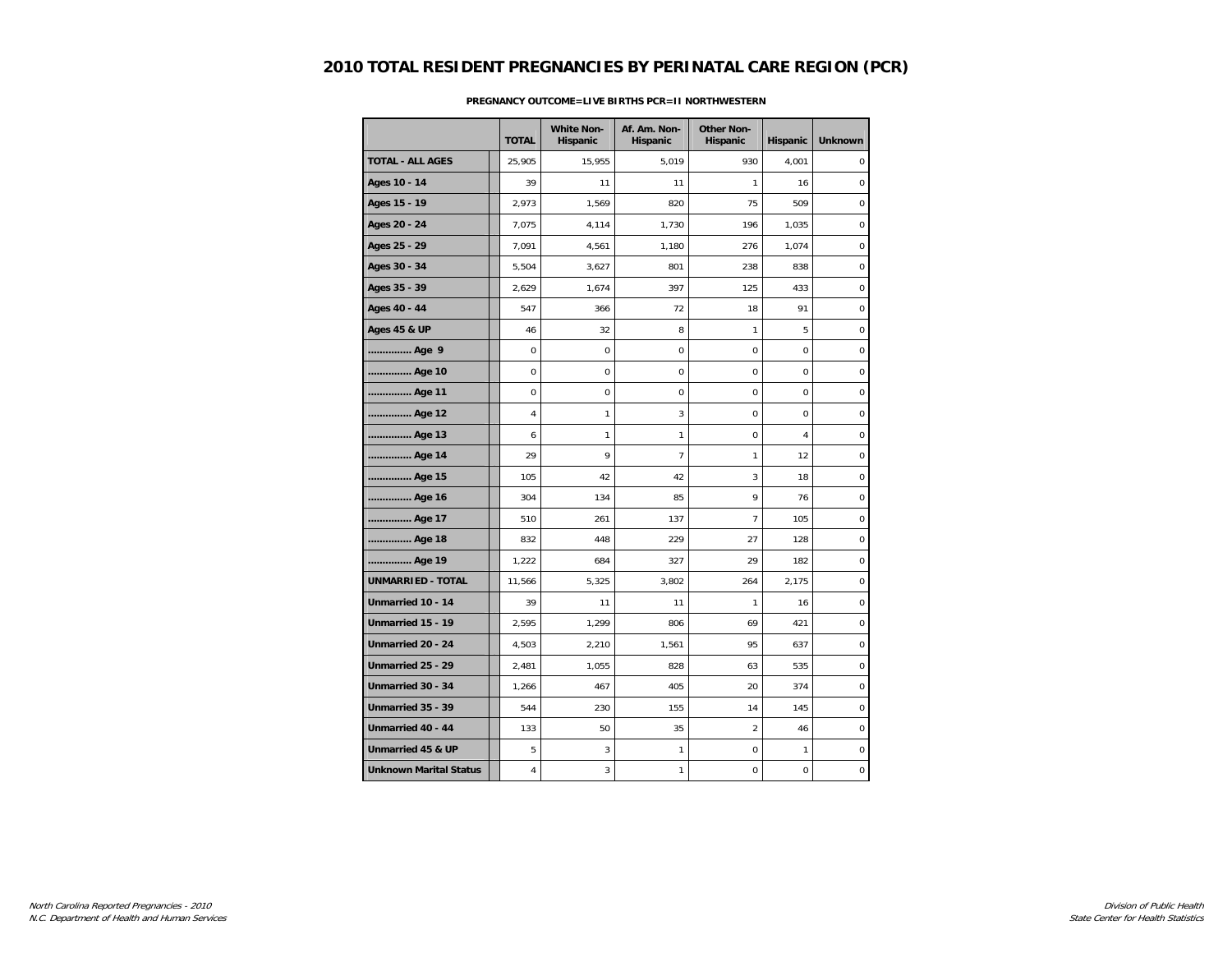|                               | <b>TOTAL</b>   | <b>White Non-</b><br>Hispanic | Af. Am. Non-<br>Hispanic | <b>Other Non-</b><br>Hispanic | Hispanic       | <b>Unknown</b>   |
|-------------------------------|----------------|-------------------------------|--------------------------|-------------------------------|----------------|------------------|
| <b>TOTAL - ALL AGES</b>       | 25,905         | 15,955                        | 5,019                    | 930                           | 4,001          | $\mathbf 0$      |
| Ages 10 - 14                  | 39             | 11                            | 11                       | 1                             | 16             | $\mathbf 0$      |
| Ages 15 - 19                  | 2,973          | 1,569                         | 820                      | 75                            | 509            | 0                |
| Ages 20 - 24                  | 7,075          | 4,114                         | 1,730                    | 196                           | 1,035          | $\mathbf 0$      |
| Ages 25 - 29                  | 7,091          | 4,561                         | 1,180                    | 276                           | 1,074          | $\mathbf 0$      |
| Ages 30 - 34                  | 5,504          | 3,627                         | 801                      | 238                           | 838            | $\mathbf 0$      |
| Ages 35 - 39                  | 2,629          | 1,674                         | 397                      | 125                           | 433            | $\pmb{0}$        |
| Ages 40 - 44                  | 547            | 366                           | 72                       | 18                            | 91             | $\pmb{0}$        |
| <b>Ages 45 &amp; UP</b>       | 46             | 32                            | 8                        | 1                             | 5              | $\mathbf 0$      |
| Age 9                         | $\mathbf 0$    | $\mathbf 0$                   | 0                        | 0                             | $\mathbf 0$    | 0                |
| Age 10                        | $\mathbf 0$    | $\mathbf 0$                   | 0                        | 0                             | $\Omega$       | $\mathbf 0$      |
| Age 11                        | $\mathbf 0$    | 0                             | 0                        | 0                             | $\mathbf 0$    | $\mathbf 0$      |
| Age 12                        | $\overline{4}$ | 1                             | 3                        | $\Omega$                      | $\Omega$       | $\mathbf 0$      |
| Age 13                        | 6              | 1                             | $\mathbf{1}$             | 0                             | $\overline{4}$ | $\pmb{0}$        |
| Age 14                        | 29             | 9                             | $\overline{7}$           | $\mathbf{1}$                  | 12             | $\pmb{0}$        |
| Age 15                        | 105            | 42                            | 42                       | 3                             | 18             | $\mathbf 0$      |
| Age 16                        | 304            | 134                           | 85                       | 9                             | 76             | 0                |
| Age 17                        | 510            | 261                           | 137                      | $\overline{7}$                | 105            | $\mathbf 0$      |
| Age 18                        | 832            | 448                           | 229                      | 27                            | 128            | $\mathbf 0$      |
| Age 19                        | 1,222          | 684                           | 327                      | 29                            | 182            | $\mathbf 0$      |
| <b>UNMARRIED - TOTAL</b>      | 11,566         | 5,325                         | 3,802                    | 264                           | 2,175          | $\pmb{0}$        |
| Unmarried 10 - 14             | 39             | 11                            | 11                       | $\mathbf{1}$                  | 16             | $\mathbf 0$      |
| Unmarried 15 - 19             | 2,595          | 1,299                         | 806                      | 69                            | 421            | $\boldsymbol{0}$ |
| Unmarried 20 - 24             | 4,503          | 2,210                         | 1,561                    | 95                            | 637            | $\mathbf 0$      |
| Unmarried 25 - 29             | 2,481          | 1,055                         | 828                      | 63                            | 535            | 0                |
| Unmarried 30 - 34             | 1,266          | 467                           | 405                      | 20                            | 374            | $\mathbf 0$      |
| Unmarried 35 - 39             | 544            | 230                           | 155                      | 14                            | 145            | $\Omega$         |
| Unmarried 40 - 44             | 133            | 50                            | 35                       | $\overline{a}$                | 46             | $\pmb{0}$        |
| Unmarried 45 & UP             | 5              | 3                             | 1                        | 0                             | $\mathbf{1}$   | 0                |
| <b>Unknown Marital Status</b> | 4              | 3                             | 1                        | 0                             | 0              | 0                |

### **PREGNANCY OUTCOME=LIVE BIRTHS PCR=II NORTHWESTERN**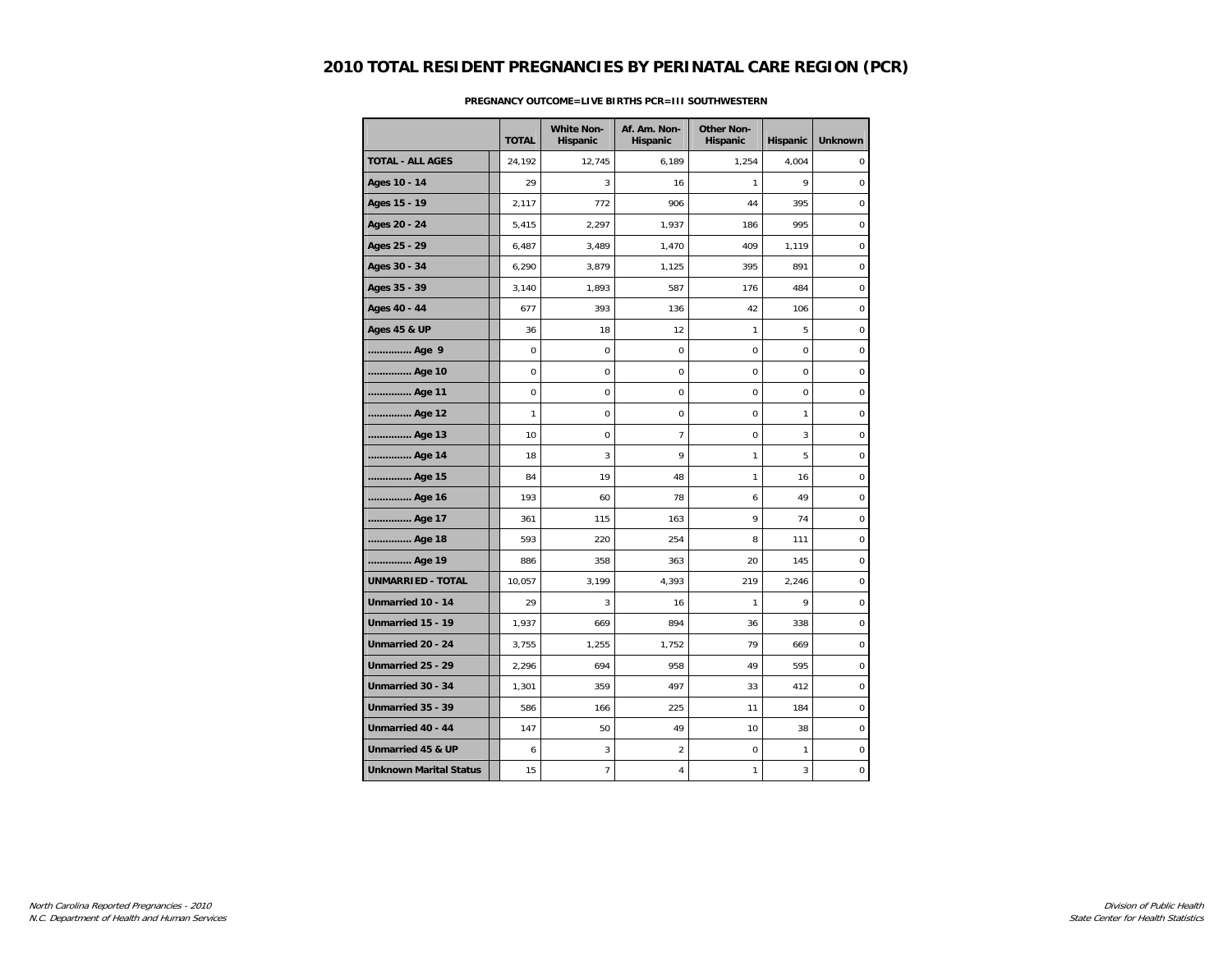|                               | <b>TOTAL</b> | <b>White Non-</b><br>Hispanic | Af. Am. Non-<br>Hispanic | <b>Other Non-</b><br>Hispanic | Hispanic     | <b>Unknown</b>   |
|-------------------------------|--------------|-------------------------------|--------------------------|-------------------------------|--------------|------------------|
| <b>TOTAL - ALL AGES</b>       | 24,192       | 12,745                        | 6,189                    | 1,254                         | 4,004        | $\mathbf 0$      |
| Ages 10 - 14                  | 29           | 3                             | 16                       | 1                             | 9            | $\mathbf 0$      |
| Ages 15 - 19                  | 2,117        | 772                           | 906                      | 44                            | 395          | 0                |
| Ages 20 - 24                  | 5,415        | 2,297                         | 1,937                    | 186                           | 995          | $\mathbf 0$      |
| Ages 25 - 29                  | 6,487        | 3,489                         | 1,470                    | 409                           | 1,119        | $\mathbf 0$      |
| Ages 30 - 34                  | 6,290        | 3,879                         | 1,125                    | 395                           | 891          | $\mathbf 0$      |
| Ages 35 - 39                  | 3,140        | 1,893                         | 587                      | 176                           | 484          | $\pmb{0}$        |
| Ages 40 - 44                  | 677          | 393                           | 136                      | 42                            | 106          | $\pmb{0}$        |
| <b>Ages 45 &amp; UP</b>       | 36           | 18                            | 12                       | 1                             | 5            | $\mathbf 0$      |
| Age 9                         | $\mathbf 0$  | $\mathbf 0$                   | 0                        | 0                             | $\mathbf 0$  | 0                |
| Age 10                        | $\mathbf 0$  | $\mathbf 0$                   | 0                        | 0                             | $\Omega$     | $\mathbf 0$      |
| Age 11                        | $\mathbf 0$  | 0                             | 0                        | 0                             | $\mathbf 0$  | $\boldsymbol{0}$ |
| Age 12                        | 1            | $\mathbf 0$                   | 0                        | $\Omega$                      | 1            | $\mathbf 0$      |
| Age 13                        | 10           | $\mathbf 0$                   | $\overline{7}$           | 0                             | 3            | $\pmb{0}$        |
| Age 14                        | 18           | 3                             | 9                        | $\mathbf{1}$                  | 5            | $\pmb{0}$        |
| Age 15                        | 84           | 19                            | 48                       | $\mathbf{1}$                  | 16           | $\mathbf 0$      |
| Age 16                        | 193          | 60                            | 78                       | 6                             | 49           | 0                |
| Age 17                        | 361          | 115                           | 163                      | 9                             | 74           | $\mathbf 0$      |
| Age 18                        | 593          | 220                           | 254                      | 8                             | 111          | $\mathbf 0$      |
| Age 19                        | 886          | 358                           | 363                      | 20                            | 145          | $\mathbf 0$      |
| <b>UNMARRIED - TOTAL</b>      | 10,057       | 3,199                         | 4,393                    | 219                           | 2,246        | $\pmb{0}$        |
| Unmarried 10 - 14             | 29           | 3                             | 16                       | $\mathbf{1}$                  | 9            | $\pmb{0}$        |
| Unmarried 15 - 19             | 1,937        | 669                           | 894                      | 36                            | 338          | $\boldsymbol{0}$ |
| Unmarried 20 - 24             | 3,755        | 1,255                         | 1,752                    | 79                            | 669          | $\mathbf 0$      |
| Unmarried 25 - 29             | 2,296        | 694                           | 958                      | 49                            | 595          | 0                |
| Unmarried 30 - 34             | 1,301        | 359                           | 497                      | 33                            | 412          | $\mathbf 0$      |
| Unmarried 35 - 39             | 586          | 166                           | 225                      | 11                            | 184          | $\Omega$         |
| Unmarried 40 - 44             | 147          | 50                            | 49                       | 10                            | 38           | $\pmb{0}$        |
| Unmarried 45 & UP             | 6            | 3                             | $\overline{\mathbf{c}}$  | 0                             | $\mathbf{1}$ | 0                |
| <b>Unknown Marital Status</b> | 15           | 7                             | 4                        | 1                             | 3            | 0                |

### **PREGNANCY OUTCOME=LIVE BIRTHS PCR=III SOUTHWESTERN**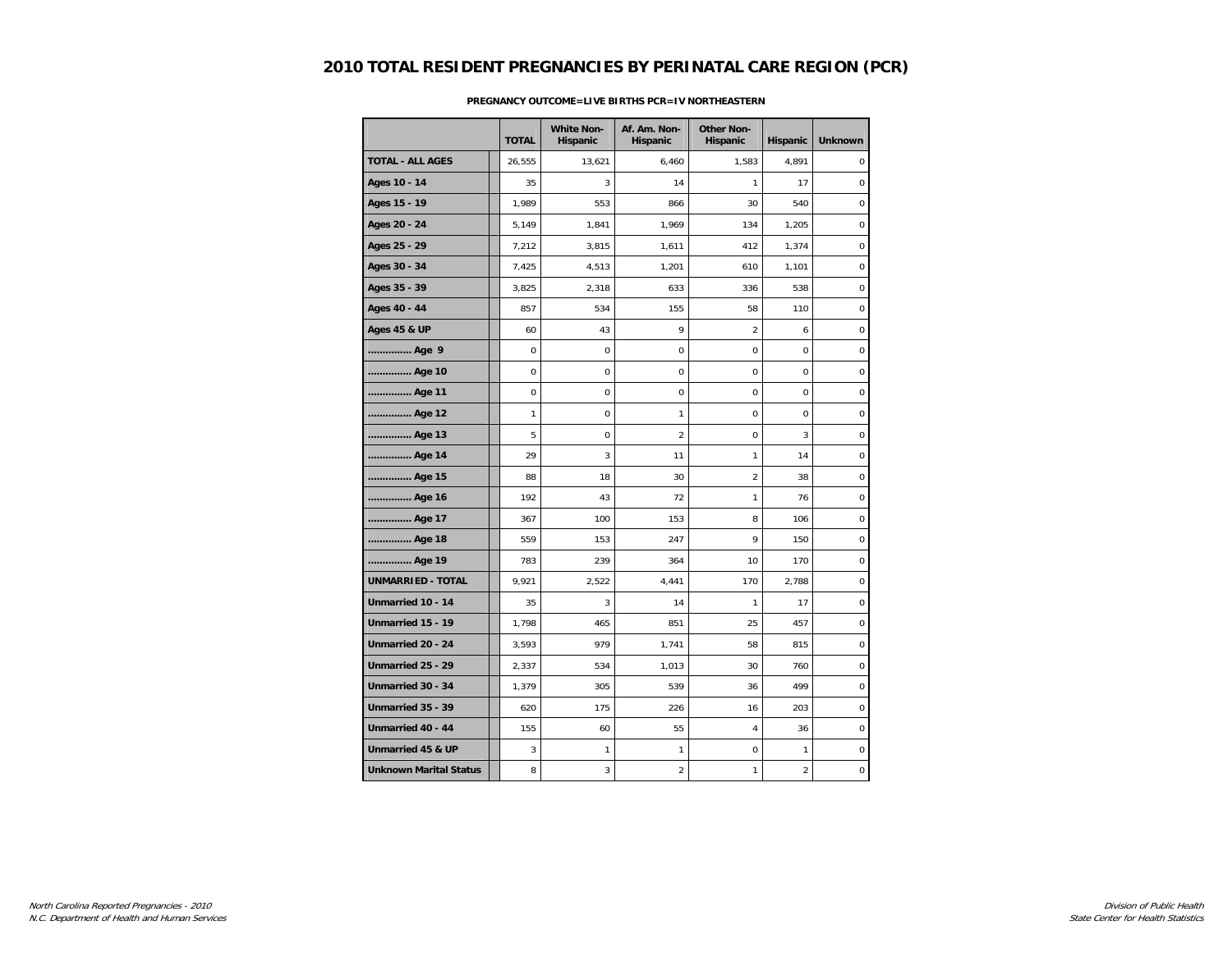|                               |              | <b>White Non-</b> | Af. Am. Non-   | <b>Other Non-</b> |                |                  |
|-------------------------------|--------------|-------------------|----------------|-------------------|----------------|------------------|
|                               | <b>TOTAL</b> | Hispanic          | Hispanic       | Hispanic          | Hispanic       | <b>Unknown</b>   |
| <b>TOTAL - ALL AGES</b>       | 26,555       | 13,621            | 6,460          | 1,583             | 4,891          | $\mathbf 0$      |
| Ages 10 - 14                  | 35           | 3                 | 14             | 1                 | 17             | $\mathbf 0$      |
| Ages 15 - 19                  | 1,989        | 553               | 866            | 30                | 540            | 0                |
| Ages 20 - 24                  | 5,149        | 1,841             | 1,969          | 134               | 1,205          | $\mathbf 0$      |
| Ages 25 - 29                  | 7,212        | 3,815             | 1,611          | 412               | 1,374          | $\mathbf 0$      |
| Ages 30 - 34                  | 7,425        | 4,513             | 1,201          | 610               | 1,101          | $\mathbf 0$      |
| Ages 35 - 39                  | 3,825        | 2,318             | 633            | 336               | 538            | $\pmb{0}$        |
| Ages 40 - 44                  | 857          | 534               | 155            | 58                | 110            | $\pmb{0}$        |
| <b>Ages 45 &amp; UP</b>       | 60           | 43                | 9              | $\overline{2}$    | 6              | $\mathbf 0$      |
| Age 9                         | $\mathbf 0$  | 0                 | 0              | 0                 | $\mathbf 0$    | 0                |
| Age 10                        | 0            | 0                 | $\mathbf 0$    | $\mathbf 0$       | $\mathbf 0$    | $\mathbf 0$      |
| Age 11                        | 0            | 0                 | 0              | 0                 | $\mathbf 0$    | $\mathbf 0$      |
| Age 12                        | 1            | 0                 | 1              | $\Omega$          | $\Omega$       | $\mathbf 0$      |
| Age 13                        | 5            | 0                 | $\overline{a}$ | 0                 | $\mathbf{3}$   | $\pmb{0}$        |
| Age 14                        | 29           | 3                 | 11             | 1                 | 14             | $\pmb{0}$        |
| Age 15                        | 88           | 18                | 30             | $\overline{2}$    | 38             | $\mathbf 0$      |
| Age 16                        | 192          | 43                | 72             | 1                 | 76             | $\boldsymbol{0}$ |
| Age 17                        | 367          | 100               | 153            | 8                 | 106            | $\mathbf 0$      |
| Age 18                        | 559          | 153               | 247            | 9                 | 150            | $\mathbf 0$      |
| Age 19                        | 783          | 239               | 364            | 10                | 170            | $\mathbf 0$      |
| <b>UNMARRIED - TOTAL</b>      | 9,921        | 2,522             | 4,441          | 170               | 2,788          | $\pmb{0}$        |
| Unmarried 10 - 14             | 35           | 3                 | 14             | 1                 | 17             | $\pmb{0}$        |
| Unmarried 15 - 19             | 1,798        | 465               | 851            | 25                | 457            | $\boldsymbol{0}$ |
| Unmarried 20 - 24             | 3,593        | 979               | 1,741          | 58                | 815            | $\mathbf 0$      |
| Unmarried 25 - 29             | 2,337        | 534               | 1,013          | 30                | 760            | 0                |
| Unmarried 30 - 34             | 1,379        | 305               | 539            | 36                | 499            | $\mathbf 0$      |
| Unmarried 35 - 39             | 620          | 175               | 226            | 16                | 203            | $\Omega$         |
| Unmarried 40 - 44             | 155          | 60                | 55             | 4                 | 36             | $\pmb{0}$        |
| Unmarried 45 & UP             | 3            | $\mathbf{1}$      | 1              | 0                 | $\mathbf{1}$   | 0                |
| <b>Unknown Marital Status</b> | 8            | 3                 | 2              | 1                 | $\overline{2}$ | 0                |

### **PREGNANCY OUTCOME=LIVE BIRTHS PCR=IV NORTHEASTERN**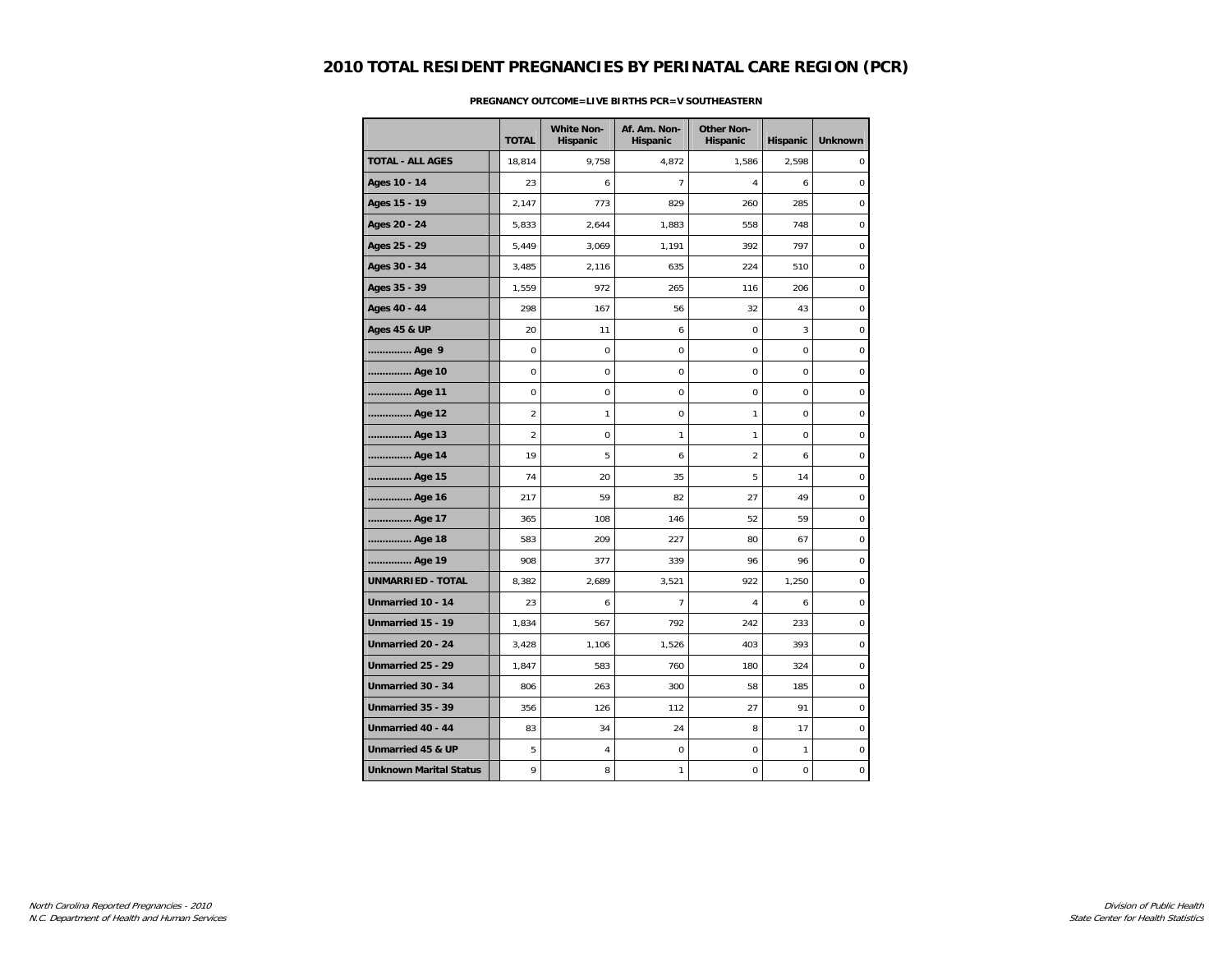|                               | <b>TOTAL</b>   | <b>White Non-</b><br>Hispanic | Af. Am. Non-<br>Hispanic | <b>Other Non-</b><br>Hispanic | Hispanic     | <b>Unknown</b> |
|-------------------------------|----------------|-------------------------------|--------------------------|-------------------------------|--------------|----------------|
| <b>TOTAL - ALL AGES</b>       | 18,814         | 9,758                         | 4,872                    | 1,586                         | 2,598        | 0              |
| Ages 10 - 14                  | 23             | 6                             | $\overline{7}$           | 4                             | 6            | 0              |
| Ages 15 - 19                  | 2,147          | 773                           | 829                      | 260                           | 285          | 0              |
| Ages 20 - 24                  | 5,833          | 2,644                         | 1,883                    | 558                           | 748          | 0              |
| Ages 25 - 29                  | 5,449          | 3,069                         | 1,191                    | 392                           | 797          | 0              |
| Ages 30 - 34                  | 3,485          | 2,116                         | 635                      | 224                           | 510          | $\mathbf 0$    |
| Ages 35 - 39                  | 1,559          | 972                           | 265                      | 116                           | 206          | $\mathbf 0$    |
| Ages 40 - 44                  | 298            | 167                           | 56                       | 32                            | 43           | $\mathbf 0$    |
| <b>Ages 45 &amp; UP</b>       | 20             | 11                            | 6                        | 0                             | 3            | $\pmb{0}$      |
| Age 9                         | $\mathbf 0$    | 0                             | $\mathsf 0$              | $\mathbf 0$                   | 0            | $\pmb{0}$      |
| Age 10                        | $\mathbf 0$    | 0                             | 0                        | $\mathbf 0$                   | 0            | $\pmb{0}$      |
| Age 11                        | 0              | 0                             | 0                        | 0                             | 0            | 0              |
| Age 12                        | $\overline{2}$ | 1                             | $\mathbf 0$              | 1                             | 0            | 0              |
| Age 13                        | $\overline{2}$ | 0                             | 1                        | $\mathbf{1}$                  | 0            | 0              |
| Age 14                        | 19             | 5                             | 6                        | $\overline{2}$                | 6            | 0              |
| Age 15                        | 74             | 20                            | 35                       | 5                             | 14           | 0              |
| Age 16                        | 217            | 59                            | 82                       | 27                            | 49           | $\mathbf 0$    |
| Age 17                        | 365            | 108                           | 146                      | 52                            | 59           | $\pmb{0}$      |
| Age 18                        | 583            | 209                           | 227                      | 80                            | 67           | 0              |
| Age 19                        | 908            | 377                           | 339                      | 96                            | 96           | $\pmb{0}$      |
| <b>UNMARRIED - TOTAL</b>      | 8,382          | 2,689                         | 3,521                    | 922                           | 1,250        | 0              |
| Unmarried 10 - 14             | 23             | 6                             | 7                        | 4                             | 6            | $\mathbf 0$    |
| Unmarried 15 - 19             | 1,834          | 567                           | 792                      | 242                           | 233          | 0              |
| Unmarried 20 - 24             | 3,428          | 1,106                         | 1,526                    | 403                           | 393          | $\pmb{0}$      |
| Unmarried 25 - 29             | 1,847          | 583                           | 760                      | 180                           | 324          | $\pmb{0}$      |
| Unmarried 30 - 34             | 806            | 263                           | 300                      | 58                            | 185          | $\mathbf 0$    |
| Unmarried 35 - 39             | 356            | 126                           | 112                      | 27                            | 91           | 0              |
| Unmarried 40 - 44             | 83             | 34                            | 24                       | 8                             | 17           | $\pmb{0}$      |
| Unmarried 45 & UP             | 5              | $\sqrt{4}$                    | $\pmb{0}$                | $\mathbf 0$                   | $\mathbf{1}$ | $\mathbf 0$    |
| <b>Unknown Marital Status</b> | 9              | 8                             | 1                        | 0                             | 0            | 0              |

#### **PREGNANCY OUTCOME=LIVE BIRTHS PCR=V SOUTHEASTERN**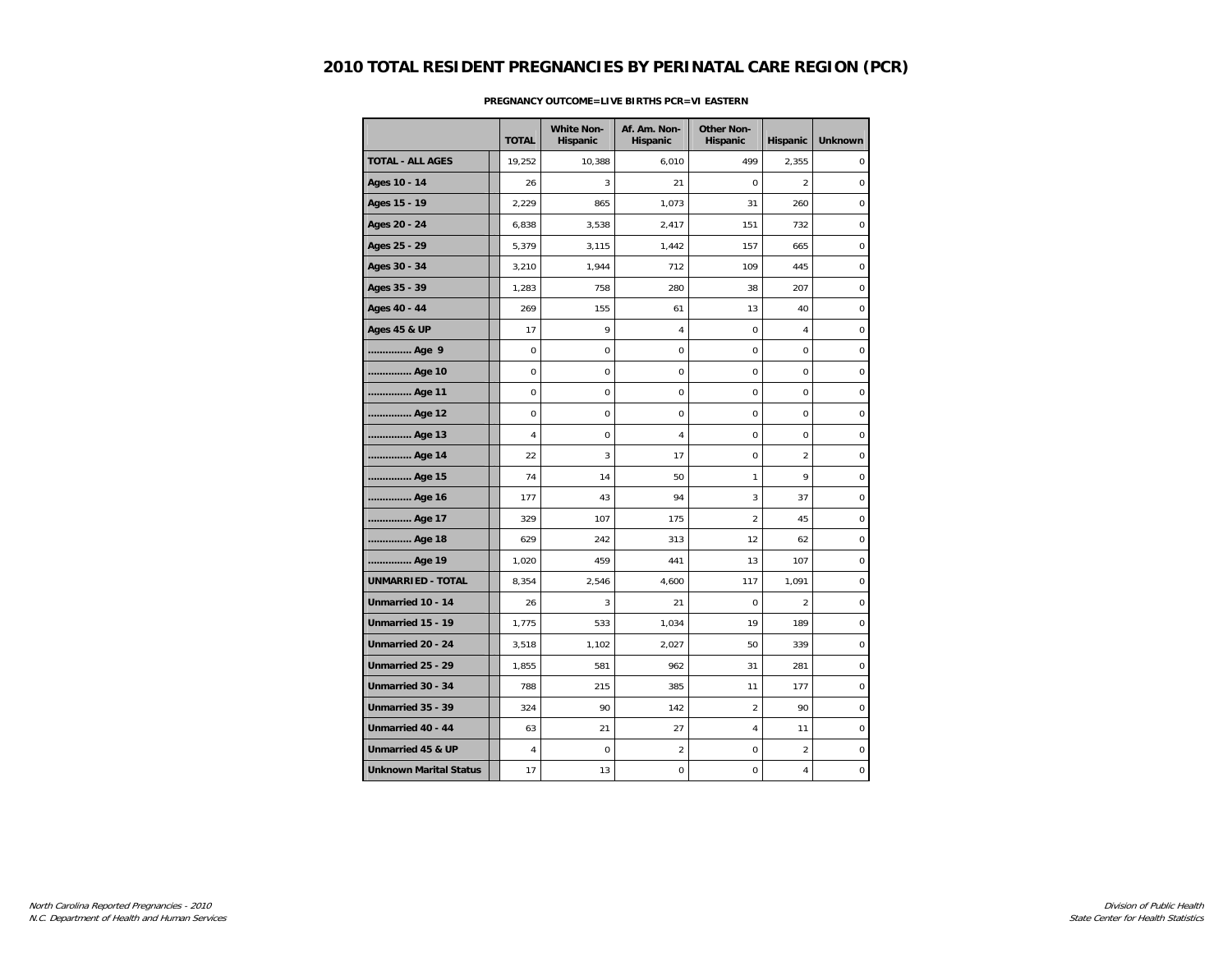|                               | <b>TOTAL</b> | <b>White Non-</b><br>Hispanic | Af. Am. Non-<br>Hispanic | <b>Other Non-</b><br>Hispanic | Hispanic       | <b>Unknown</b> |
|-------------------------------|--------------|-------------------------------|--------------------------|-------------------------------|----------------|----------------|
| <b>TOTAL - ALL AGES</b>       | 19,252       | 10,388                        | 6,010                    | 499                           | 2,355          | $\mathbf 0$    |
| Ages 10 - 14                  | 26           | 3                             | 21                       | $\mathbf 0$                   | $\overline{2}$ | $\mathbf 0$    |
| Ages 15 - 19                  | 2,229        | 865                           | 1,073                    | 31                            | 260            | 0              |
| Ages 20 - 24                  | 6,838        | 3,538                         | 2,417                    | 151                           | 732            | $\bf 0$        |
| Ages 25 - 29                  | 5,379        | 3,115                         | 1,442                    | 157                           | 665            | $\mathbf 0$    |
| Ages 30 - 34                  | 3,210        | 1,944                         | 712                      | 109                           | 445            | $\mathbf 0$    |
| Ages 35 - 39                  | 1,283        | 758                           | 280                      | 38                            | 207            | $\mathbf 0$    |
| Ages 40 - 44                  | 269          | 155                           | 61                       | 13                            | 40             | $\mathbf 0$    |
| <b>Ages 45 &amp; UP</b>       | 17           | 9                             | 4                        | $\mathbf 0$                   | $\overline{4}$ | $\pmb{0}$      |
| Age 9                         | $\pmb{0}$    | 0                             | 0                        | 0                             | $\mathbf 0$    | $\pmb{0}$      |
| Age 10                        | 0            | 0                             | $\mathbf 0$              | 0                             | $\mathbf 0$    | 0              |
| Age 11                        | 0            | 0                             | 0                        | 0                             | $\mathbf 0$    | $\bf 0$        |
| Age 12                        | $\mathbf 0$  | 0                             | $\mathbf 0$              | $\mathbf 0$                   | $\mathbf 0$    | $\mathbf 0$    |
| Age 13                        | 4            | 0                             | 4                        | 0                             | $\mathbf 0$    | $\bf 0$        |
| Age 14                        | 22           | 3                             | 17                       | 0                             | $\overline{2}$ | 0              |
| Age 15                        | 74           | 14                            | 50                       | $\mathbf{1}$                  | 9              | $\mathbf 0$    |
| Age 16                        | 177          | 43                            | 94                       | 3                             | 37             | $\mathbf 0$    |
| Age 17                        | 329          | 107                           | 175                      | $\overline{c}$                | 45             | $\pmb{0}$      |
| Age 18                        | 629          | 242                           | 313                      | 12                            | 62             | $\pmb{0}$      |
| Age 19                        | 1,020        | 459                           | 441                      | 13                            | 107            | $\mathbf 0$    |
| <b>UNMARRIED - TOTAL</b>      | 8,354        | 2,546                         | 4,600                    | 117                           | 1,091          | 0              |
| Unmarried 10 - 14             | 26           | 3                             | 21                       | 0                             | $\overline{2}$ | 0              |
| Unmarried 15 - 19             | 1,775        | 533                           | 1,034                    | 19                            | 189            | $\bf 0$        |
| Unmarried 20 - 24             | 3,518        | 1,102                         | 2,027                    | 50                            | 339            | $\mathbf 0$    |
| Unmarried 25 - 29             | 1,855        | 581                           | 962                      | 31                            | 281            | $\mathbf 0$    |
| Unmarried 30 - 34             | 788          | 215                           | 385                      | 11                            | 177            | $\mathbf 0$    |
| Unmarried 35 - 39             | 324          | 90                            | 142                      | $\overline{2}$                | 90             | $\mathbf 0$    |
| Unmarried 40 - 44             | 63           | 21                            | 27                       | 4                             | 11             | $\pmb{0}$      |
| Unmarried 45 & UP             | 4            | 0                             | $\overline{c}$           | 0                             | $\overline{2}$ | 0              |
| <b>Unknown Marital Status</b> | 17           | 13                            | 0                        | 0                             | 4              | 0              |

### **PREGNANCY OUTCOME=LIVE BIRTHS PCR=VI EASTERN**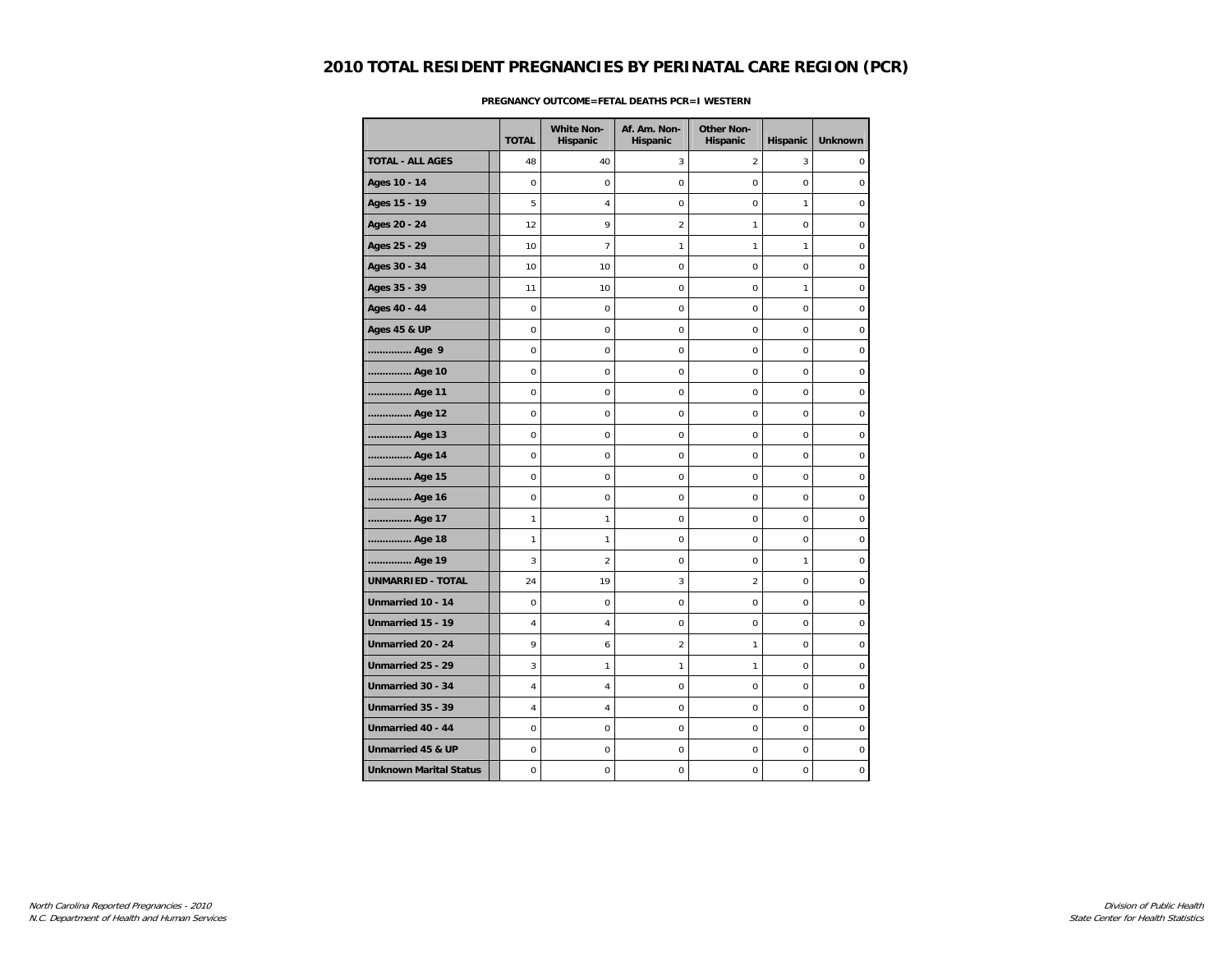|                               | <b>TOTAL</b>   | <b>White Non-</b><br>Hispanic | Af. Am. Non-<br>Hispanic | <b>Other Non-</b><br>Hispanic | Hispanic     | <b>Unknown</b>   |
|-------------------------------|----------------|-------------------------------|--------------------------|-------------------------------|--------------|------------------|
| <b>TOTAL - ALL AGES</b>       | 48             | 40                            | 3                        | 2                             | 3            | $\mathbf 0$      |
| Ages 10 - 14                  | $\mathbf 0$    | 0                             | $\mathbf 0$              | 0                             | $\mathbf 0$  | $\mathbf 0$      |
| Ages 15 - 19                  | 5              | $\overline{4}$                | 0                        | 0                             | $\mathbf{1}$ | $\mathbf 0$      |
| Ages 20 - 24                  | 12             | 9                             | $\overline{c}$           | 1                             | $\mathbf 0$  | $\mathbf 0$      |
| Ages 25 - 29                  | 10             | $\overline{7}$                | 1                        | 1                             | $\mathbf{1}$ | $\mathbf 0$      |
| Ages 30 - 34                  | 10             | 10                            | $\mathsf 0$              | $\mathbf 0$                   | $\mathbf 0$  | $\mathbf 0$      |
| Ages 35 - 39                  | 11             | 10                            | 0                        | 0                             | $\mathbf{1}$ | $\mathbf 0$      |
| Ages 40 - 44                  | 0              | 0                             | 0                        | 0                             | $\mathbf 0$  | $\mathbf 0$      |
| <b>Ages 45 &amp; UP</b>       | $\mathbf 0$    | 0                             | $\mathbf 0$              | 0                             | $\mathbf 0$  | $\mathbf 0$      |
| Age 9                         | $\mathbf 0$    | 0                             | $\mathbf 0$              | 0                             | $\mathbf 0$  | $\mathbf 0$      |
| Age 10                        | $\mathbf 0$    | 0                             | 0                        | 0                             | $\mathbf 0$  | 0                |
| Age 11                        | $\pmb{0}$      | 0                             | 0                        | 0                             | $\mathbf 0$  | $\pmb{0}$        |
| Age 12                        | $\mathbf 0$    | 0                             | $\mathbf 0$              | $\mathbf 0$                   | $\mathbf 0$  | $\mathbf 0$      |
| Age 13                        | 0              | 0                             | 0                        | 0                             | $\mathbf 0$  | $\bf 0$          |
| Age 14                        | 0              | 0                             | 0                        | $\mathbf 0$                   | $\mathbf 0$  | $\pmb{0}$        |
| Age 15                        | 0              | $\mathbf 0$                   | $\mathbf 0$              | $\overline{0}$                | $\mathbf 0$  | $\mathbf 0$      |
| Age 16                        | $\mathbf 0$    | 0                             | $\mathsf 0$              | 0                             | $\mathbf 0$  | $\mathbf 0$      |
| Age 17                        | 1              | 1                             | $\mathbf 0$              | 0                             | $\mathbf 0$  | $\mathbf 0$      |
| Age 18                        | 1              | 1                             | 0                        | 0                             | $\mathbf 0$  | $\bf 0$          |
| Age 19                        | 3              | $\overline{2}$                | 0                        | $\mathbf 0$                   | $\mathbf{1}$ | $\mathbf 0$      |
| <b>UNMARRIED - TOTAL</b>      | 24             | 19                            | 3                        | $\overline{2}$                | $\Omega$     | $\mathbf 0$      |
| Unmarried 10 - 14             | $\mathbf 0$    | 0                             | $\mathbf 0$              | $\mathbf 0$                   | $\mathbf 0$  | $\mathbf 0$      |
| Unmarried 15 - 19             | $\overline{4}$ | $\sqrt{4}$                    | 0                        | $\mathbf 0$                   | $\mathbf 0$  | $\mathbf 0$      |
| Unmarried 20 - 24             | 9              | 6                             | $\overline{2}$           | 1                             | $\mathbf 0$  | $\mathbf 0$      |
| Unmarried 25 - 29             | 3              | 1                             | 1                        | 1                             | $\mathbf 0$  | $\mathbf 0$      |
| Unmarried 30 - 34             | 4              | 4                             | 0                        | 0                             | $\mathbf 0$  | $\boldsymbol{0}$ |
| Unmarried 35 - 39             | 4              | 4                             | $\mathbf 0$              | $\Omega$                      | $\Omega$     | $\mathbf 0$      |
| Unmarried 40 - 44             | $\pmb{0}$      | 0                             | $\mathsf 0$              | 0                             | $\mathbf 0$  | $\pmb{0}$        |
| Unmarried 45 & UP             | $\pmb{0}$      | 0                             | 0                        | 0                             | 0            | $\pmb{0}$        |
| <b>Unknown Marital Status</b> | 0              | 0                             | 0                        | 0                             | 0            | 0                |

### **PREGNANCY OUTCOME=FETAL DEATHS PCR=I WESTERN**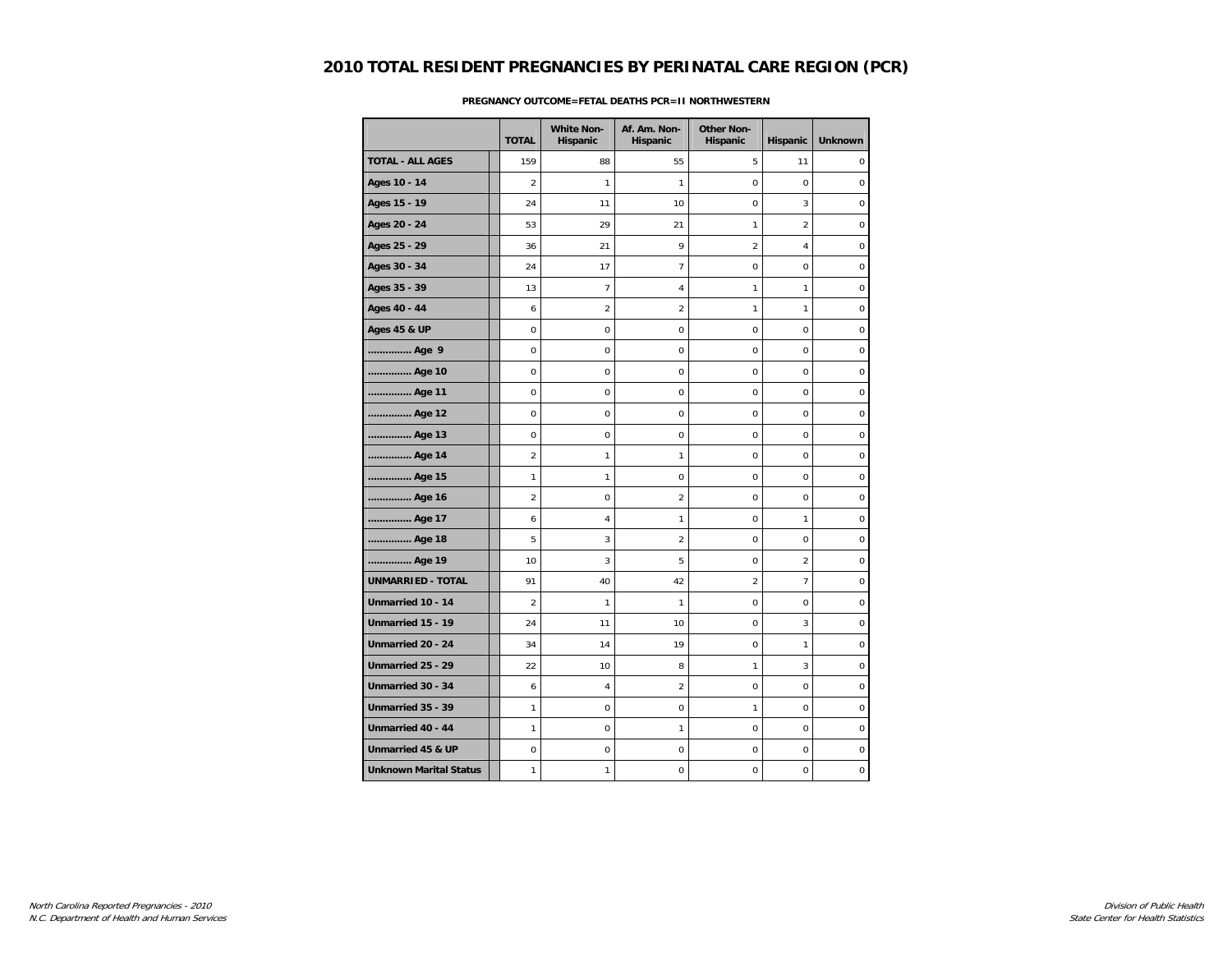|                               |                | <b>White Non-</b> | Af. Am. Non-   | <b>Other Non-</b> |                |                  |
|-------------------------------|----------------|-------------------|----------------|-------------------|----------------|------------------|
|                               | <b>TOTAL</b>   | Hispanic          | Hispanic       | Hispanic          | Hispanic       | <b>Unknown</b>   |
| <b>TOTAL - ALL AGES</b>       | 159            | 88                | 55             | 5                 | 11             | $\mathbf 0$      |
| Ages 10 - 14                  | $\overline{2}$ | $\mathbf{1}$      | $\mathbf{1}$   | $\mathbf 0$       | $\mathbf 0$    | $\mathbf 0$      |
| Ages 15 - 19                  | 24             | 11                | 10             | 0                 | 3              | $\mathbf 0$      |
| Ages 20 - 24                  | 53             | 29                | 21             | $\mathbf{1}$      | $\overline{2}$ | $\pmb{0}$        |
| Ages 25 - 29                  | 36             | 21                | 9              | $\overline{c}$    | $\overline{4}$ | 0                |
| Ages 30 - 34                  | 24             | 17                | 7              | $\mathbf 0$       | $\mathbf 0$    | 0                |
| Ages 35 - 39                  | 13             | $\overline{7}$    | 4              | 1                 | $\mathbf{1}$   | $\mathbf 0$      |
| Ages 40 - 44                  | 6              | $\boldsymbol{2}$  | $\overline{a}$ | 1                 | $\mathbf{1}$   | $\pmb{0}$        |
| <b>Ages 45 &amp; UP</b>       | $\mathbf 0$    | 0                 | 0              | 0                 | $\mathbf 0$    | $\boldsymbol{0}$ |
| Age 9                         | 0              | 0                 | 0              | 0                 | $\mathbf 0$    | 0                |
| Age 10                        | $\mathbf 0$    | $\mathbf 0$       | $\mathbf 0$    | $\mathbf 0$       | $\mathbf 0$    | $\mathbf 0$      |
| Age 11                        | $\mathbf 0$    | 0                 | $\mathsf 0$    | $\mathbf 0$       | $\mathbf 0$    | $\mathbf 0$      |
| Age 12                        | $\mathbf 0$    | 0                 | 0              | 0                 | $\mathbf 0$    | $\mathbf 0$      |
| Age 13                        | $\mathbf 0$    | 0                 | 0              | 0                 | $\mathbf 0$    | 0                |
| Age 14                        | 2              | 1                 | 1              | 0                 | $\mathbf 0$    | $\mathbf 0$      |
| Age 15                        | 1              | $\mathbf{1}$      | 0              | 0                 | $\mathbf 0$    | $\pmb{0}$        |
| Age 16                        | 2              | 0                 | 2              | 0                 | $\mathbf 0$    | $\mathbf 0$      |
| Age 17                        | 6              | 4                 | 1              | 0                 | $\mathbf{1}$   | $\boldsymbol{0}$ |
| Age 18                        | 5              | 3                 | $\overline{a}$ | $\Omega$          | $\Omega$       | $\mathbf 0$      |
| Age 19                        | 10             | 3                 | 5              | 0                 | $\overline{2}$ | $\pmb{0}$        |
| <b>UNMARRIED - TOTAL</b>      | 91             | 40                | 42             | $\overline{2}$    | $\overline{7}$ | $\pmb{0}$        |
| Unmarried 10 - 14             | 2              | 1                 | 1              | 0                 | $\mathbf 0$    | $\boldsymbol{0}$ |
| Unmarried 15 - 19             | 24             | 11                | 10             | $\mathbf 0$       | 3              | $\mathbf 0$      |
| Unmarried 20 - 24             | 34             | 14                | 19             | 0                 | $\mathbf{1}$   | 0                |
| Unmarried 25 - 29             | 22             | 10                | 8              | 1                 | $\mathbf{3}$   | $\pmb{0}$        |
| Unmarried 30 - 34             | 6              | 4                 | 2              | 0                 | $\mathbf 0$    | $\mathbf 0$      |
| Unmarried 35 - 39             | 1              | 0                 | 0              | $\mathbf{1}$      | $\mathbf 0$    | $\boldsymbol{0}$ |
| Unmarried 40 - 44             | $\mathbf{1}$   | $\mathbf 0$       | 1              | $\mathbf 0$       | $\mathbf 0$    | $\mathbf 0$      |
| Unmarried 45 & UP             | $\pmb{0}$      | 0                 | 0              | 0                 | $\mathsf 0$    | $\pmb{0}$        |
| <b>Unknown Marital Status</b> | $\mathbf{1}$   | 1                 | $\mathsf 0$    | $\mathbf 0$       | $\mathbf 0$    | 0                |

### **PREGNANCY OUTCOME=FETAL DEATHS PCR=II NORTHWESTERN**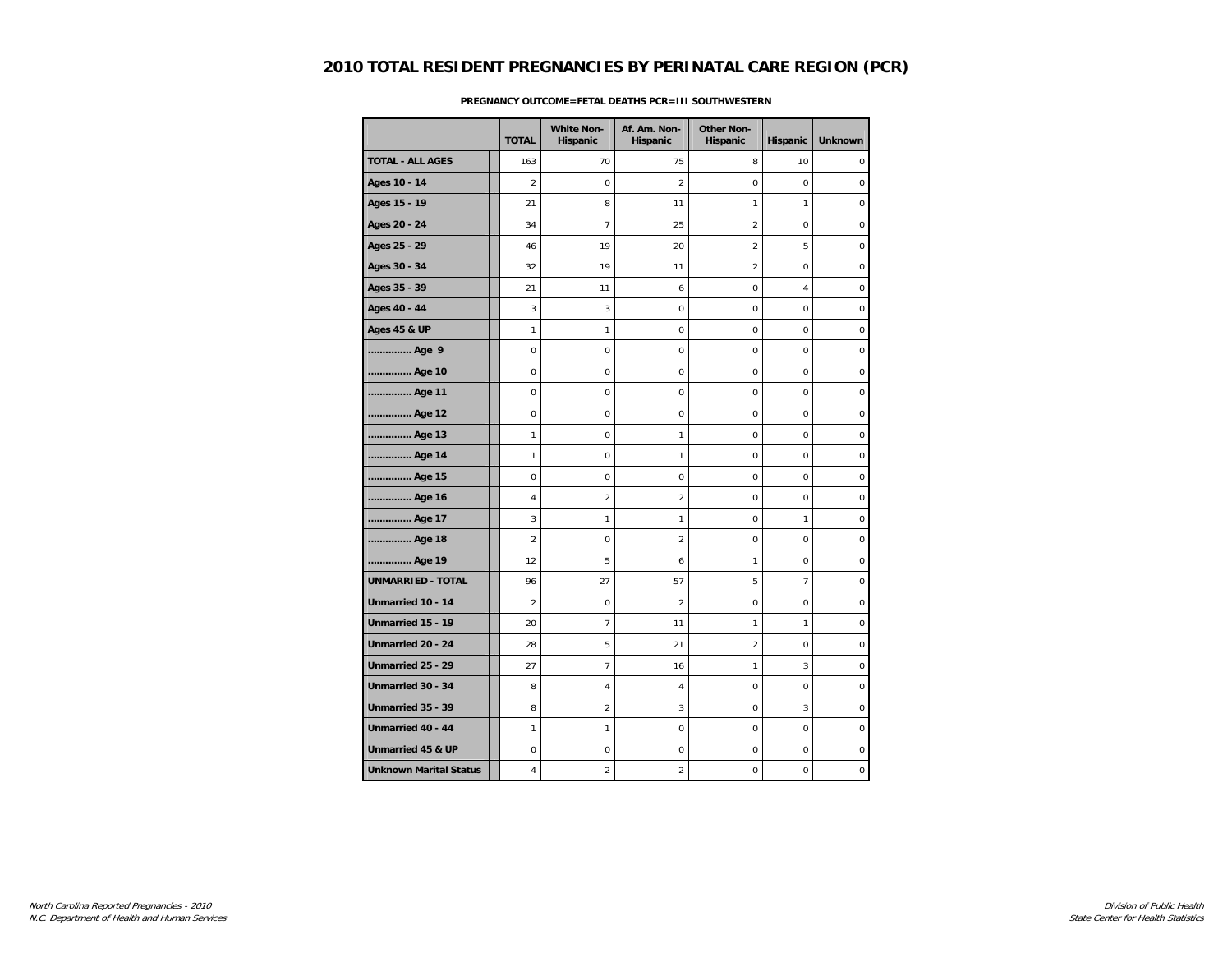|                               | <b>TOTAL</b>   | <b>White Non-</b><br>Hispanic | Af. Am. Non-<br>Hispanic | <b>Other Non-</b><br>Hispanic | Hispanic        | <b>Unknown</b>   |
|-------------------------------|----------------|-------------------------------|--------------------------|-------------------------------|-----------------|------------------|
| <b>TOTAL - ALL AGES</b>       | 163            | 70                            | 75                       | 8                             | 10              | $\mathbf 0$      |
| Ages 10 - 14                  | $\overline{2}$ | 0                             | $\overline{2}$           | 0                             | $\mathbf 0$     | $\mathbf 0$      |
| Ages 15 - 19                  | 21             | 8                             | 11                       | 1                             | $\mathbf{1}$    | $\mathbf 0$      |
| Ages 20 - 24                  | 34             | $\overline{7}$                | 25                       | $\overline{2}$                | 0               | $\pmb{0}$        |
| Ages 25 - 29                  | 46             | 19                            | 20                       | $\overline{a}$                | 5               | $\mathbf 0$      |
| Ages 30 - 34                  | 32             | 19                            | 11                       | $\overline{2}$                | $\mathbf 0$     | $\mathbf 0$      |
| Ages 35 - 39                  | 21             | 11                            | 6                        | 0                             | 4               | $\mathbf 0$      |
| Ages 40 - 44                  | 3              | 3                             | $\mathbf 0$              | $\mathbf 0$                   | $\mathbf 0$     | $\mathbf 0$      |
| <b>Ages 45 &amp; UP</b>       | $\mathbf{1}$   | $\mathbf{1}$                  | 0                        | $\mathbf 0$                   | $\mathbf 0$     | $\pmb{0}$        |
| Age 9                         | $\pmb{0}$      | 0                             | $\mathsf 0$              | 0                             | $\mathbf 0$     | $\pmb{0}$        |
| Age 10                        | $\mathbf 0$    | 0                             | $\mathbf 0$              | $\mathbf 0$                   | $\mathbf 0$     | 0                |
| Age 11                        | $\mathbf 0$    | 0                             | 0                        | 0                             | $\mathbf 0$     | $\mathbf 0$      |
| Age 12                        | $\mathbf 0$    | $\mathbf 0$                   | $\mathbf 0$              | $\mathbf 0$                   | $\Omega$        | $\mathbf 0$      |
| Age 13                        | $\mathbf{1}$   | 0                             | 1                        | 0                             | $\mathbf 0$     | $\pmb{0}$        |
| Age 14                        | 1              | 0                             | 1                        | 0                             | $\mathbf 0$     | $\boldsymbol{0}$ |
| Age 15                        | $\mathbf 0$    | 0                             | 0                        | $\mathbf 0$                   | $\mathbf 0$     | $\boldsymbol{0}$ |
| Age 16                        | 4              | $\overline{a}$                | $\overline{a}$           | 0                             | $\mathbf 0$     | $\mathbf 0$      |
| Age 17                        | 3              | 1                             | 1                        | 0                             | $\mathbf{1}$    | $\mathbf 0$      |
| Age 18                        | $\overline{c}$ | 0                             | $\overline{2}$           | $\mathbf 0$                   | $\mathbf 0$     | $\pmb{0}$        |
| Age 19                        | 12             | 5                             | 6                        | 1                             | 0               | $\boldsymbol{0}$ |
| <b>UNMARRIED - TOTAL</b>      | 96             | 27                            | 57                       | 5                             | $7\overline{ }$ | $\mathbf 0$      |
| Unmarried 10 - 14             | 2              | 0                             | $\overline{2}$           | $\mathbf 0$                   | $\mathbf 0$     | $\boldsymbol{0}$ |
| Unmarried 15 - 19             | 20             | $\overline{7}$                | 11                       | 1                             | $\mathbf{1}$    | $\mathbf 0$      |
| Unmarried 20 - 24             | 28             | 5                             | 21                       | $\overline{2}$                | $\mathsf 0$     | $\pmb{0}$        |
| Unmarried 25 - 29             | 27             | $\overline{7}$                | 16                       | 1                             | 3               | $\boldsymbol{0}$ |
| Unmarried 30 - 34             | 8              | $\sqrt{4}$                    | 4                        | 0                             | 0               | $\boldsymbol{0}$ |
| Unmarried 35 - 39             | 8              | $\overline{2}$                | 3                        | $\mathbf 0$                   | 3               | $\mathbf 0$      |
| Unmarried 40 - 44             | $\mathbf{1}$   | $\mathbf{1}$                  | $\mathbf 0$              | $\mathbf 0$                   | $\mathbf 0$     | $\mathbf 0$      |
| Unmarried 45 & UP             | 0              | 0                             | 0                        | 0                             | 0               | $\boldsymbol{0}$ |
| <b>Unknown Marital Status</b> | 4              | $\boldsymbol{2}$              | 2                        | 0                             | $\mathbf 0$     | 0                |

### **PREGNANCY OUTCOME=FETAL DEATHS PCR=III SOUTHWESTERN**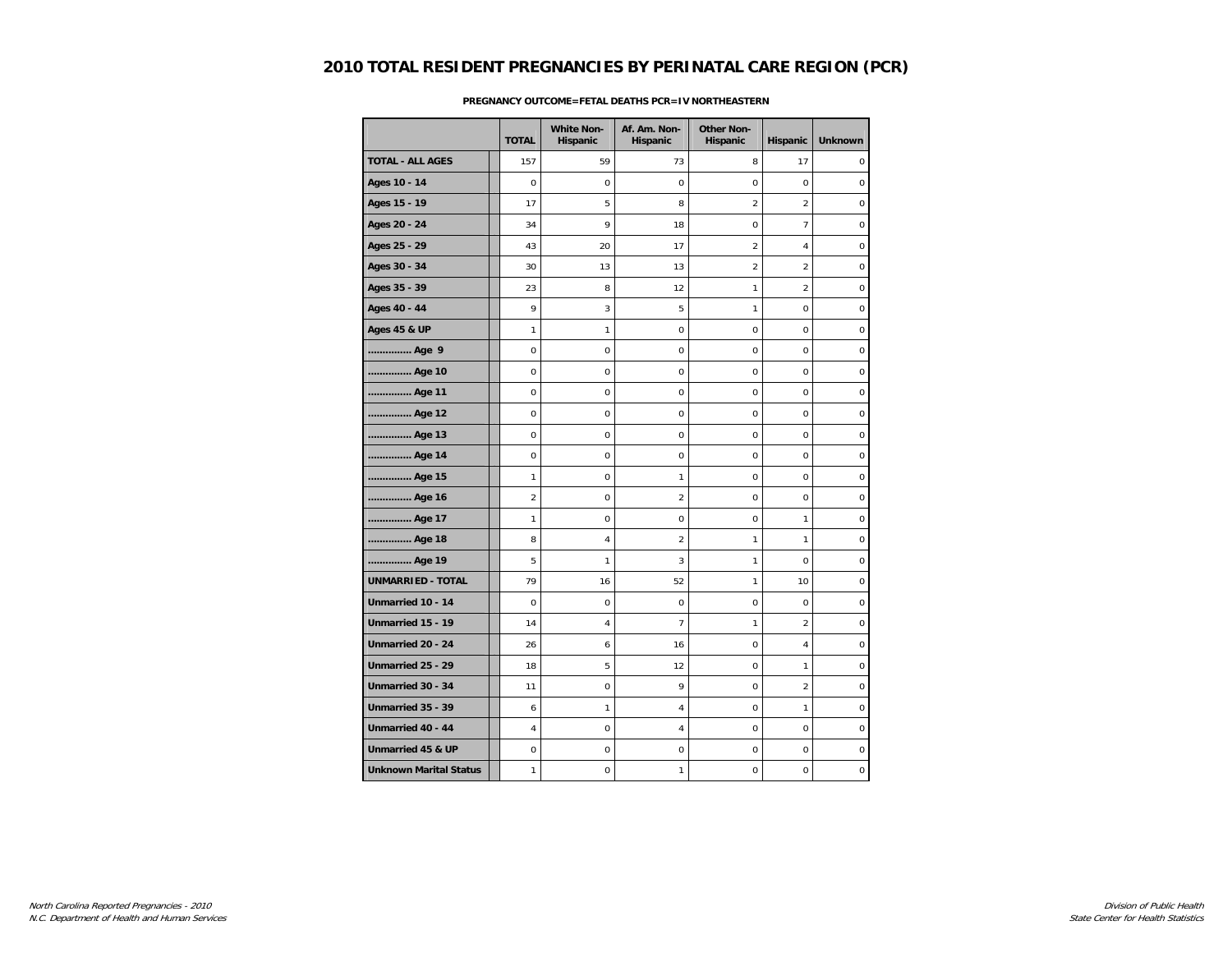|                               | <b>TOTAL</b>   | <b>White Non-</b><br>Hispanic | Af. Am. Non-<br>Hispanic | <b>Other Non-</b><br>Hispanic | Hispanic       | <b>Unknown</b>   |
|-------------------------------|----------------|-------------------------------|--------------------------|-------------------------------|----------------|------------------|
| <b>TOTAL - ALL AGES</b>       | 157            | 59                            | 73                       | 8                             | 17             | $\mathbf 0$      |
| Ages 10 - 14                  | $\mathbf 0$    | 0                             | $\mathbf 0$              | 0                             | $\mathbf 0$    | $\mathbf 0$      |
| Ages 15 - 19                  | 17             | 5                             | 8                        | $\overline{2}$                | $\overline{2}$ | $\boldsymbol{0}$ |
| Ages 20 - 24                  | 34             | 9                             | 18                       | $\mathbf 0$                   | $\overline{7}$ | $\mathbf 0$      |
| Ages 25 - 29                  | 43             | 20                            | 17                       | $\overline{a}$                | $\overline{4}$ | $\mathbf 0$      |
| Ages 30 - 34                  | 30             | 13                            | 13                       | $\overline{2}$                | $\overline{2}$ | $\mathbf 0$      |
| Ages 35 - 39                  | 23             | 8                             | 12                       | 1                             | $\overline{2}$ | $\boldsymbol{0}$ |
| Ages 40 - 44                  | 9              | 3                             | 5                        | $\mathbf{1}$                  | $\mathbf 0$    | $\mathbf 0$      |
| <b>Ages 45 &amp; UP</b>       | 1              | $\mathbf{1}$                  | $\mathbf 0$              | 0                             | $\mathbf 0$    | $\mathbf 0$      |
| Age 9                         | $\mathbf 0$    | 0                             | $\mathbf 0$              | 0                             | $\mathbf 0$    | $\mathbf 0$      |
| Age 10                        | 0              | 0                             | 0                        | 0                             | $\mathbf 0$    | 0                |
| Age 11                        | $\pmb{0}$      | 0                             | 0                        | 0                             | $\mathbf 0$    | $\pmb{0}$        |
| Age 12                        | $\mathbf 0$    | 0                             | $\mathbf 0$              | $\mathbf 0$                   | $\mathbf 0$    | $\boldsymbol{0}$ |
| Age 13                        | 0              | 0                             | 0                        | 0                             | $\mathbf 0$    | $\boldsymbol{0}$ |
| Age 14                        | 0              | 0                             | 0                        | 0                             | $\mathbf 0$    | $\pmb{0}$        |
| Age 15                        | $\mathbf{1}$   | $\mathbf 0$                   | 1                        | $\overline{0}$                | $\mathbf 0$    | $\mathbf 0$      |
| Age 16                        | $\overline{2}$ | 0                             | $\overline{a}$           | 0                             | $\mathbf 0$    | $\pmb{0}$        |
| Age 17                        | 1              | 0                             | $\mathbf 0$              | 0                             | $\mathbf{1}$   | $\boldsymbol{0}$ |
| Age 18                        | 8              | $\overline{4}$                | 2                        | 1                             | $\mathbf{1}$   | $\boldsymbol{0}$ |
| Age 19                        | 5              | 1                             | 3                        | 1                             | $\mathbf 0$    | $\mathbf 0$      |
| <b>UNMARRIED - TOTAL</b>      | 79             | 16                            | 52                       | 1                             | 10             | $\mathbf 0$      |
| Unmarried 10 - 14             | $\mathbf 0$    | $\mathbf 0$                   | $\mathbf 0$              | $\mathbf 0$                   | $\mathbf 0$    | $\mathbf 0$      |
| Unmarried 15 - 19             | 14             | $\sqrt{4}$                    | 7                        | 1                             | $\overline{2}$ | $\boldsymbol{0}$ |
| Unmarried 20 - 24             | 26             | 6                             | 16                       | 0                             | $\overline{4}$ | $\boldsymbol{0}$ |
| Unmarried 25 - 29             | 18             | 5                             | 12                       | $\mathbf 0$                   | $\mathbf{1}$   | $\boldsymbol{0}$ |
| Unmarried 30 - 34             | 11             | 0                             | 9                        | 0                             | $\overline{2}$ | $\boldsymbol{0}$ |
| Unmarried 35 - 39             | 6              | 1                             | 4                        | $\Omega$                      | $\mathbf{1}$   | $\mathbf 0$      |
| Unmarried 40 - 44             | $\overline{4}$ | 0                             | 4                        | 0                             | $\mathbf 0$    | $\pmb{0}$        |
| Unmarried 45 & UP             | 0              | 0                             | 0                        | 0                             | 0              | $\boldsymbol{0}$ |
| <b>Unknown Marital Status</b> | 1              | 0                             | 1                        | 0                             | 0              | 0                |

### **PREGNANCY OUTCOME=FETAL DEATHS PCR=IV NORTHEASTERN**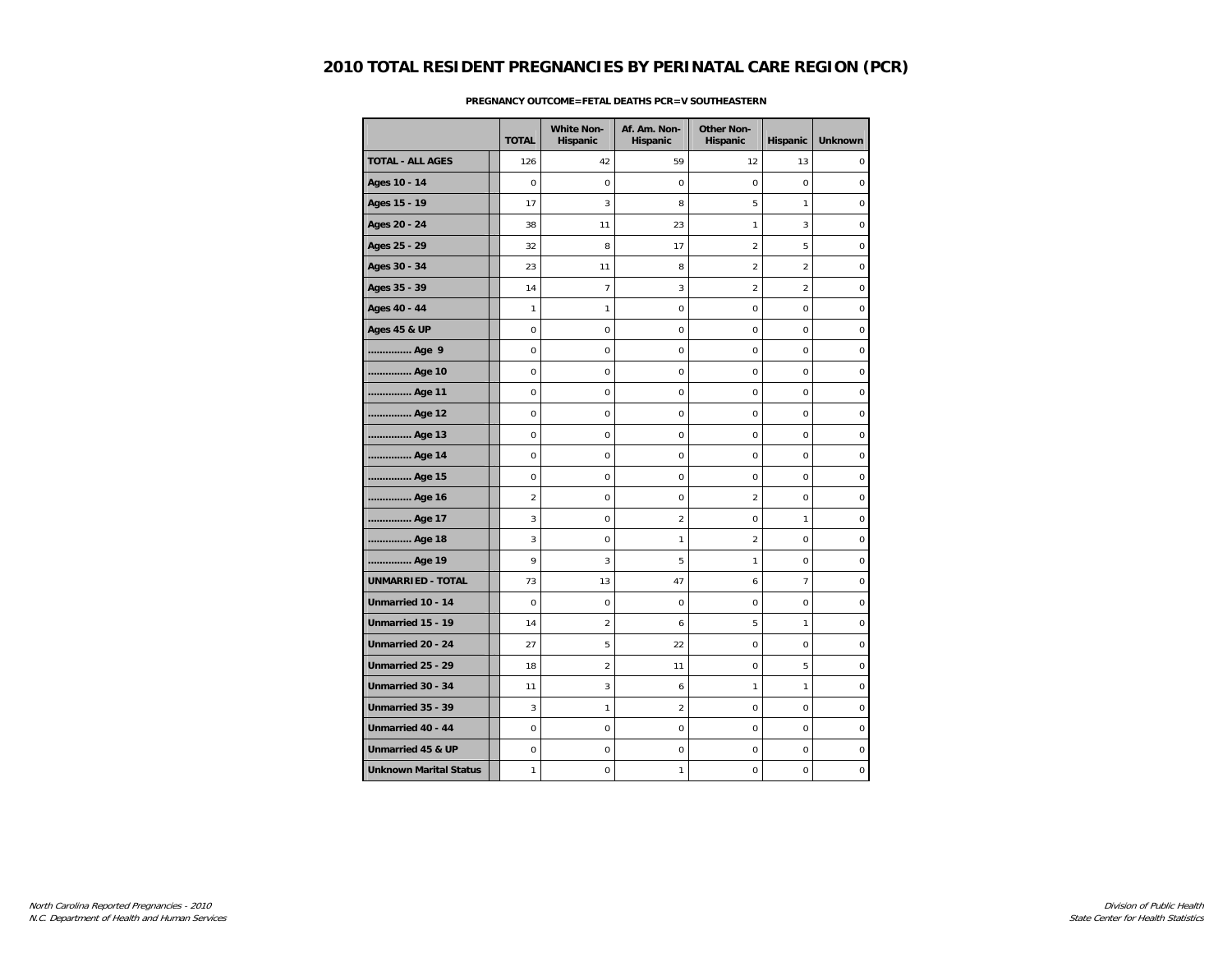|                               | <b>TOTAL</b>   | <b>White Non-</b><br>Hispanic | Af. Am. Non-<br>Hispanic | <b>Other Non-</b><br>Hispanic | Hispanic        | <b>Unknown</b>   |
|-------------------------------|----------------|-------------------------------|--------------------------|-------------------------------|-----------------|------------------|
| <b>TOTAL - ALL AGES</b>       | 126            | 42                            | 59                       | 12                            | 13              | $\mathbf 0$      |
| Ages 10 - 14                  | $\mathbf 0$    | 0                             | $\mathbf 0$              | 0                             | $\mathbf 0$     | $\mathbf 0$      |
| Ages 15 - 19                  | 17             | 3                             | 8                        | 5                             | $\mathbf{1}$    | $\boldsymbol{0}$ |
| Ages 20 - 24                  | 38             | 11                            | 23                       | 1                             | 3               | $\mathbf 0$      |
| Ages 25 - 29                  | 32             | 8                             | 17                       | $\overline{a}$                | 5               | $\pmb{0}$        |
| Ages 30 - 34                  | 23             | 11                            | 8                        | $\overline{2}$                | $\overline{2}$  | $\mathbf 0$      |
| Ages 35 - 39                  | 14             | $\overline{7}$                | 3                        | $\overline{2}$                | $\overline{2}$  | $\boldsymbol{0}$ |
| Ages 40 - 44                  | 1              | 1                             | 0                        | 0                             | $\mathbf 0$     | $\mathbf 0$      |
| <b>Ages 45 &amp; UP</b>       | $\mathbf 0$    | 0                             | $\mathbf 0$              | 0                             | $\mathbf 0$     | $\mathbf 0$      |
| Age 9                         | $\mathbf 0$    | 0                             | $\mathbf 0$              | 0                             | $\mathbf 0$     | $\mathbf 0$      |
| Age 10                        | 0              | 0                             | 0                        | 0                             | $\mathbf 0$     | 0                |
| Age 11                        | $\pmb{0}$      | 0                             | 0                        | 0                             | $\mathbf 0$     | $\pmb{0}$        |
| Age 12                        | $\mathbf 0$    | 0                             | $\mathbf 0$              | $\mathbf 0$                   | $\mathbf 0$     | $\bf 0$          |
| Age 13                        | 0              | 0                             | 0                        | 0                             | $\mathbf 0$     | $\bf 0$          |
| Age 14                        | 0              | 0                             | 0                        | 0                             | $\mathbf 0$     | $\pmb{0}$        |
| Age 15                        | 0              | $\mathbf 0$                   | $\mathbf 0$              | $\overline{0}$                | $\mathbf 0$     | $\mathbf 0$      |
| Age 16                        | $\overline{2}$ | 0                             | $\mathsf 0$              | $\overline{2}$                | $\mathbf 0$     | $\pmb{0}$        |
| Age 17                        | 3              | 0                             | $\overline{c}$           | 0                             | $\mathbf{1}$    | $\bf 0$          |
| Age 18                        | 3              | 0                             | 1                        | $\overline{a}$                | $\mathbf 0$     | $\bf 0$          |
| Age 19                        | 9              | 3                             | 5                        | 1                             | $\mathbf 0$     | $\mathbf 0$      |
| <b>UNMARRIED - TOTAL</b>      | 73             | 13                            | 47                       | 6                             | $7\overline{ }$ | $\mathbf 0$      |
| Unmarried 10 - 14             | $\mathbf 0$    | 0                             | $\mathbf 0$              | $\mathbf 0$                   | $\mathbf 0$     | $\mathbf 0$      |
| Unmarried 15 - 19             | 14             | $\boldsymbol{2}$              | 6                        | 5                             | $\mathbf{1}$    | $\bf 0$          |
| Unmarried 20 - 24             | 27             | 5                             | 22                       | 0                             | $\mathbf 0$     | $\bf 0$          |
| Unmarried 25 - 29             | 18             | $\boldsymbol{2}$              | 11                       | $\mathbf 0$                   | 5               | $\bf 0$          |
| Unmarried 30 - 34             | 11             | 3                             | 6                        | 1                             | $\mathbf{1}$    | $\bf 0$          |
| Unmarried 35 - 39             | 3              | 1                             | $\overline{a}$           | $\Omega$                      | $\Omega$        | $\mathbf 0$      |
| Unmarried 40 - 44             | $\pmb{0}$      | 0                             | $\mathsf 0$              | 0                             | $\mathbf 0$     | $\pmb{0}$        |
| Unmarried 45 & UP             | $\pmb{0}$      | 0                             | 0                        | 0                             | 0               | $\bf 0$          |
| <b>Unknown Marital Status</b> | 1              | 0                             | 1                        | 0                             | 0               | 0                |

### **PREGNANCY OUTCOME=FETAL DEATHS PCR=V SOUTHEASTERN**